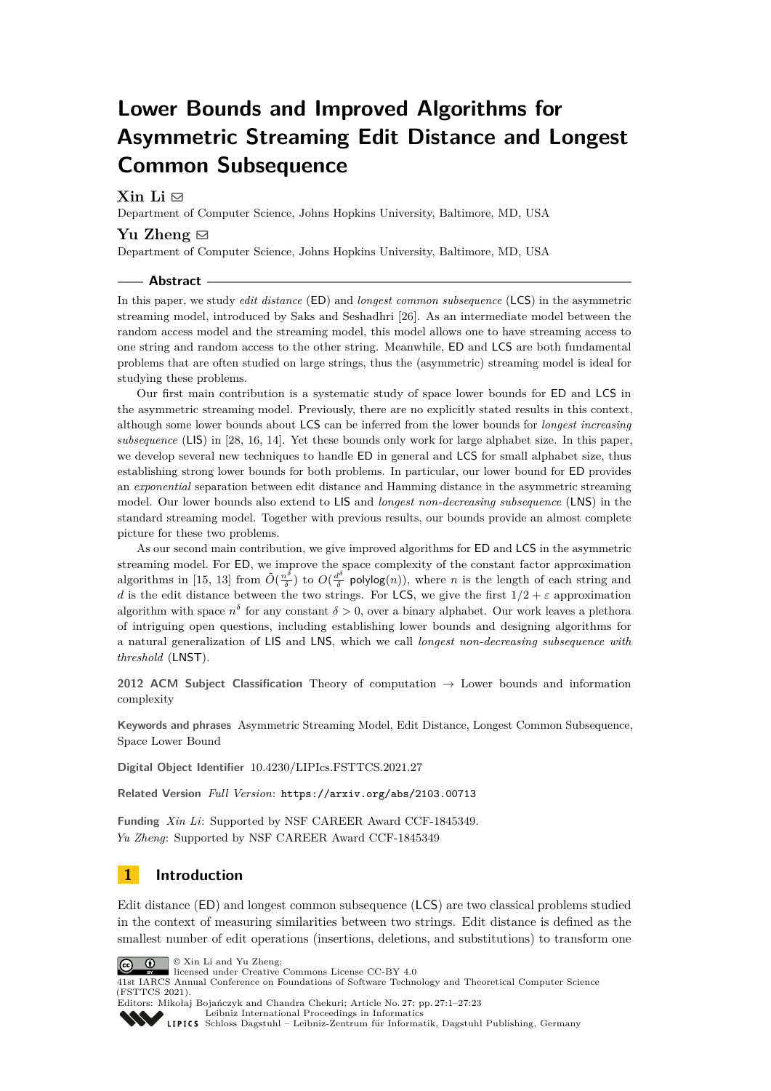# **Lower Bounds and Improved Algorithms for Asymmetric Streaming Edit Distance and Longest Common Subsequence**

# $\mathrm{Xin} \; \mathrm{Li} \; \boxdot$

Department of Computer Science, Johns Hopkins University, Baltimore, MD, USA

## **Yu Zheng**  $\boxtimes$

Department of Computer Science, Johns Hopkins University, Baltimore, MD, USA

#### **Abstract**

In this paper, we study *edit distance* (ED) and *longest common subsequence* (LCS) in the asymmetric streaming model, introduced by Saks and Seshadhri [\[26\]](#page-17-0). As an intermediate model between the random access model and the streaming model, this model allows one to have streaming access to one string and random access to the other string. Meanwhile, ED and LCS are both fundamental problems that are often studied on large strings, thus the (asymmetric) streaming model is ideal for studying these problems.

Our first main contribution is a systematic study of space lower bounds for ED and LCS in the asymmetric streaming model. Previously, there are no explicitly stated results in this context, although some lower bounds about LCS can be inferred from the lower bounds for *longest increasing subsequence* (LIS) in [\[28,](#page-17-1) [16,](#page-16-0) [14\]](#page-16-1). Yet these bounds only work for large alphabet size. In this paper, we develop several new techniques to handle ED in general and LCS for small alphabet size, thus establishing strong lower bounds for both problems. In particular, our lower bound for ED provides an *exponential* separation between edit distance and Hamming distance in the asymmetric streaming model. Our lower bounds also extend to LIS and *longest non-decreasing subsequence* (LNS) in the standard streaming model. Together with previous results, our bounds provide an almost complete picture for these two problems.

As our second main contribution, we give improved algorithms for ED and LCS in the asymmetric streaming model. For ED, we improve the space complexity of the constant factor approximation algorithms in [\[15,](#page-16-2) [13\]](#page-16-3) from  $\tilde{O}(\frac{n^{\delta}}{\delta})$  $\frac{a^{\delta}}{\delta}$ ) to  $O(\frac{d^{\delta}}{\delta})$  $\frac{d^2}{\delta}$  polylog $(n)$ , where *n* is the length of each string and *d* is the edit distance between the two strings. For LCS, we give the first  $1/2 + \varepsilon$  approximation algorithm with space  $n^{\delta}$  for any constant  $\delta > 0$ , over a binary alphabet. Our work leaves a plethora of intriguing open questions, including establishing lower bounds and designing algorithms for a natural generalization of LIS and LNS, which we call *longest non-decreasing subsequence with threshold* (LNST).

**2012 ACM Subject Classification** Theory of computation → Lower bounds and information complexity

**Keywords and phrases** Asymmetric Streaming Model, Edit Distance, Longest Common Subsequence, Space Lower Bound

**Digital Object Identifier** [10.4230/LIPIcs.FSTTCS.2021.27](https://doi.org/10.4230/LIPIcs.FSTTCS.2021.27)

**Related Version** *Full Version*: <https://arxiv.org/abs/2103.00713>

**Funding** *Xin Li*: Supported by NSF CAREER Award CCF-1845349. *Yu Zheng*: Supported by NSF CAREER Award CCF-1845349

# **1 Introduction**

Edit distance (ED) and longest common subsequence (LCS) are two classical problems studied in the context of measuring similarities between two strings. Edit distance is defined as the smallest number of edit operations (insertions, deletions, and substitutions) to transform one



© Xin Li and Yu Zheng; licensed under Creative Commons License CC-BY 4.0

41st IARCS Annual Conference on Foundations of Software Technology and Theoretical Computer Science (FSTTCS 2021).

Editors: Mikołaj Bojańczyk and Chandra Chekuri; Article No. 27; pp. 27:1–27:23 [Leibniz International Proceedings in Informatics](https://www.dagstuhl.de/lipics/)

[Schloss Dagstuhl – Leibniz-Zentrum für Informatik, Dagstuhl Publishing, Germany](https://www.dagstuhl.de)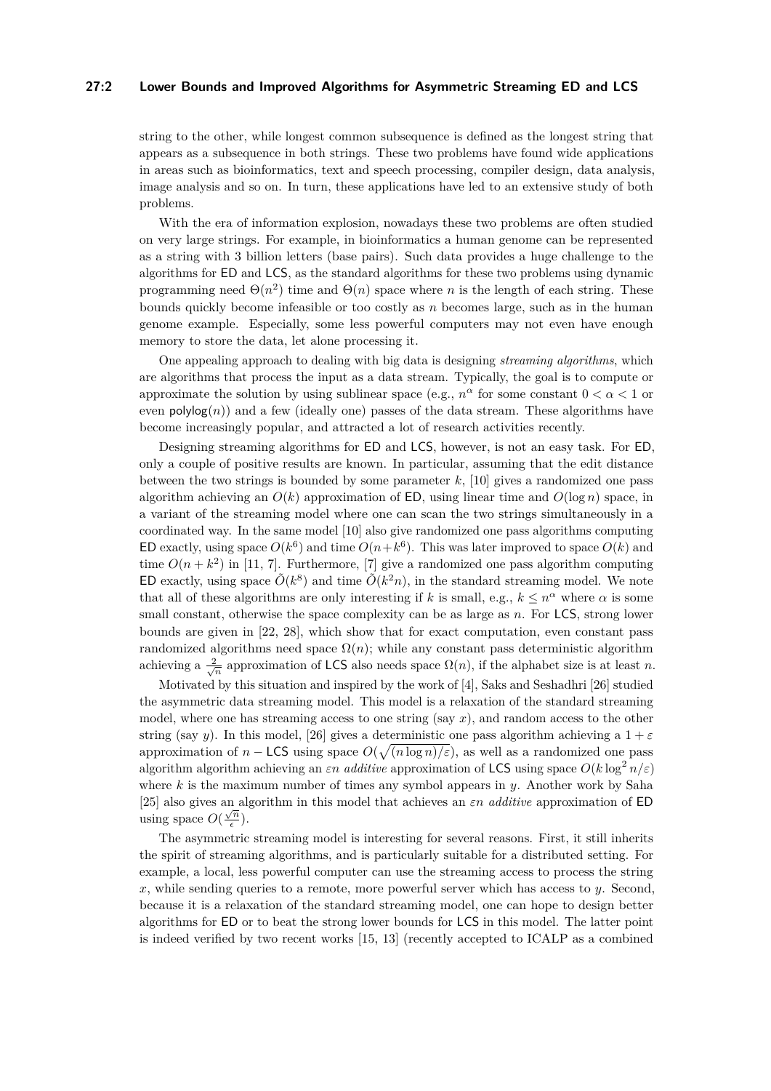## **27:2 Lower Bounds and Improved Algorithms for Asymmetric Streaming ED and LCS**

string to the other, while longest common subsequence is defined as the longest string that appears as a subsequence in both strings. These two problems have found wide applications in areas such as bioinformatics, text and speech processing, compiler design, data analysis, image analysis and so on. In turn, these applications have led to an extensive study of both problems.

With the era of information explosion, nowadays these two problems are often studied on very large strings. For example, in bioinformatics a human genome can be represented as a string with 3 billion letters (base pairs). Such data provides a huge challenge to the algorithms for ED and LCS, as the standard algorithms for these two problems using dynamic programming need  $\Theta(n^2)$  time and  $\Theta(n)$  space where *n* is the length of each string. These bounds quickly become infeasible or too costly as *n* becomes large, such as in the human genome example. Especially, some less powerful computers may not even have enough memory to store the data, let alone processing it.

One appealing approach to dealing with big data is designing *streaming algorithms*, which are algorithms that process the input as a data stream. Typically, the goal is to compute or approximate the solution by using sublinear space (e.g.,  $n^{\alpha}$  for some constant  $0 < \alpha < 1$  or even  $\mathsf{polylog}(n)$  and a few (ideally one) passes of the data stream. These algorithms have become increasingly popular, and attracted a lot of research activities recently.

Designing streaming algorithms for ED and LCS, however, is not an easy task. For ED, only a couple of positive results are known. In particular, assuming that the edit distance between the two strings is bounded by some parameter *k*, [\[10\]](#page-16-4) gives a randomized one pass algorithm achieving an  $O(k)$  approximation of ED, using linear time and  $O(\log n)$  space, in a variant of the streaming model where one can scan the two strings simultaneously in a coordinated way. In the same model [\[10\]](#page-16-4) also give randomized one pass algorithms computing ED exactly, using space  $O(k^6)$  and time  $O(n+k^6)$ . This was later improved to space  $O(k)$  and time  $O(n+k^2)$  in [\[11,](#page-16-5) [7\]](#page-16-6). Furthermore, [\[7\]](#page-16-6) give a randomized one pass algorithm computing ED exactly, using space  $O(k^8)$  and time  $O(k^2n)$ , in the standard streaming model. We note that all of these algorithms are only interesting if *k* is small, e.g.,  $k \leq n^{\alpha}$  where  $\alpha$  is some small constant, otherwise the space complexity can be as large as *n*. For LCS, strong lower bounds are given in [\[22,](#page-17-2) [28\]](#page-17-1), which show that for exact computation, even constant pass randomized algorithms need space  $\Omega(n)$ ; while any constant pass deterministic algorithm achieving a  $\frac{2}{\sqrt{n}}$  approximation of LCS also needs space  $\Omega(n)$ , if the alphabet size is at least *n*.

Motivated by this situation and inspired by the work of [\[4\]](#page-16-7), Saks and Seshadhri [\[26\]](#page-17-0) studied the asymmetric data streaming model. This model is a relaxation of the standard streaming model, where one has streaming access to one string (say *x*), and random access to the other string (say *y*). In this model, [\[26\]](#page-17-0) gives a deterministic one pass algorithm achieving a  $1 + \varepsilon$ approximation of  $n -$  LCS using space  $O(\sqrt{(n \log n)/\varepsilon})$ , as well as a randomized one pass algorithm algorithm achieving an  $\varepsilon n$  *additive* approximation of LCS using space  $O(k \log^2 n/\varepsilon)$ where *k* is the maximum number of times any symbol appears in *y*. Another work by Saha [\[25\]](#page-17-3) also gives an algorithm in this model that achieves an  $\varepsilon n$  *additive* approximation of ED using space  $O(\frac{\sqrt{n}}{2})$  $\frac{\pi}{\epsilon}$ ).

The asymmetric streaming model is interesting for several reasons. First, it still inherits the spirit of streaming algorithms, and is particularly suitable for a distributed setting. For example, a local, less powerful computer can use the streaming access to process the string *x*, while sending queries to a remote, more powerful server which has access to *y*. Second, because it is a relaxation of the standard streaming model, one can hope to design better algorithms for ED or to beat the strong lower bounds for LCS in this model. The latter point is indeed verified by two recent works [\[15,](#page-16-2) [13\]](#page-16-3) (recently accepted to ICALP as a combined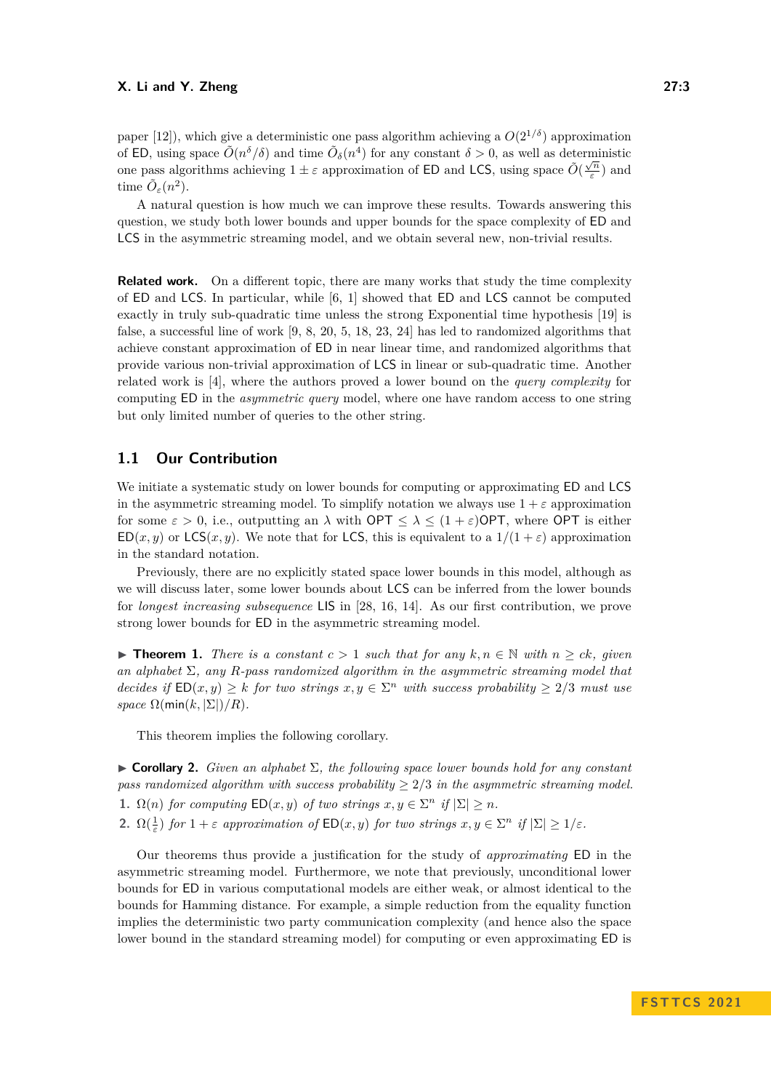paper [\[12\]](#page-16-8)), which give a deterministic one pass algorithm achieving a  $O(2^{1/\delta})$  approximation of ED, using space  $\tilde{O}(n^{\delta}/\delta)$  and time  $\tilde{O}_{\delta}(n^4)$  for any constant  $\delta > 0$ , as well as deterministic one pass algorithms achieving  $1 \pm \varepsilon$  approximation of **ED** and **LCS**, using space  $\tilde{O}(\frac{\sqrt{n}}{\varepsilon})$  $\frac{\sqrt{n}}{\varepsilon}$ ) and time  $\tilde{O}_{\varepsilon}(n^2)$ .

A natural question is how much we can improve these results. Towards answering this question, we study both lower bounds and upper bounds for the space complexity of ED and LCS in the asymmetric streaming model, and we obtain several new, non-trivial results.

**Related work.** On a different topic, there are many works that study the time complexity of ED and LCS. In particular, while [\[6,](#page-16-9) [1\]](#page-15-0) showed that ED and LCS cannot be computed exactly in truly sub-quadratic time unless the strong Exponential time hypothesis [\[19\]](#page-16-10) is false, a successful line of work [\[9,](#page-16-11) [8,](#page-16-12) [20,](#page-16-13) [5,](#page-16-14) [18,](#page-16-15) [23,](#page-17-4) [24\]](#page-17-5) has led to randomized algorithms that achieve constant approximation of ED in near linear time, and randomized algorithms that provide various non-trivial approximation of LCS in linear or sub-quadratic time. Another related work is [\[4\]](#page-16-7), where the authors proved a lower bound on the *query complexity* for computing ED in the *asymmetric query* model, where one have random access to one string but only limited number of queries to the other string.

# **1.1 Our Contribution**

We initiate a systematic study on lower bounds for computing or approximating ED and LCS in the asymmetric streaming model. To simplify notation we always use  $1 + \varepsilon$  approximation for some  $\varepsilon > 0$ , i.e., outputting an  $\lambda$  with  $\mathsf{OPT} \leq \lambda \leq (1+\varepsilon)\mathsf{OPT}$ , where  $\mathsf{OPT}$  is either  $ED(x, y)$  or  $LCS(x, y)$ . We note that for LCS, this is equivalent to a  $1/(1 + \varepsilon)$  approximation in the standard notation.

Previously, there are no explicitly stated space lower bounds in this model, although as we will discuss later, some lower bounds about LCS can be inferred from the lower bounds for *longest increasing subsequence* LIS in [\[28,](#page-17-1) [16,](#page-16-0) [14\]](#page-16-1). As our first contribution, we prove strong lower bounds for ED in the asymmetric streaming model.

<span id="page-2-1"></span>▶ **Theorem 1.** *There is a constant*  $c > 1$  *such that for any*  $k, n \in \mathbb{N}$  *with*  $n \ge ck$ *, given an alphabet* Σ*, any R-pass randomized algorithm in the asymmetric streaming model that decides if*  $ED(x, y) \geq k$  *for two strings*  $x, y \in \Sigma^n$  *with success probability*  $\geq 2/3$  *must use space*  $\Omega$ (min(k,  $|\Sigma|$ )/R).

This theorem implies the following corollary.

<span id="page-2-0"></span>▶ **Corollary 2.** *Given an alphabet* Σ*, the following space lower bounds hold for any constant pass randomized algorithm with success probability*  $\geq$  2/3 *in the asymmetric streaming model.* **1.**  $\Omega(n)$  *for computing*  $ED(x, y)$  *of two strings*  $x, y \in \Sigma^n$  *if*  $|\Sigma| \geq n$ *.* 

**2.**  $\Omega(\frac{1}{\varepsilon})$  *for*  $1 + \varepsilon$  *approximation of*  $ED(x, y)$  *for two strings*  $x, y \in \Sigma^n$  *if*  $|\Sigma| \geq 1/\varepsilon$ *.* 

Our theorems thus provide a justification for the study of *approximating* ED in the asymmetric streaming model. Furthermore, we note that previously, unconditional lower bounds for ED in various computational models are either weak, or almost identical to the bounds for Hamming distance. For example, a simple reduction from the equality function implies the deterministic two party communication complexity (and hence also the space lower bound in the standard streaming model) for computing or even approximating ED is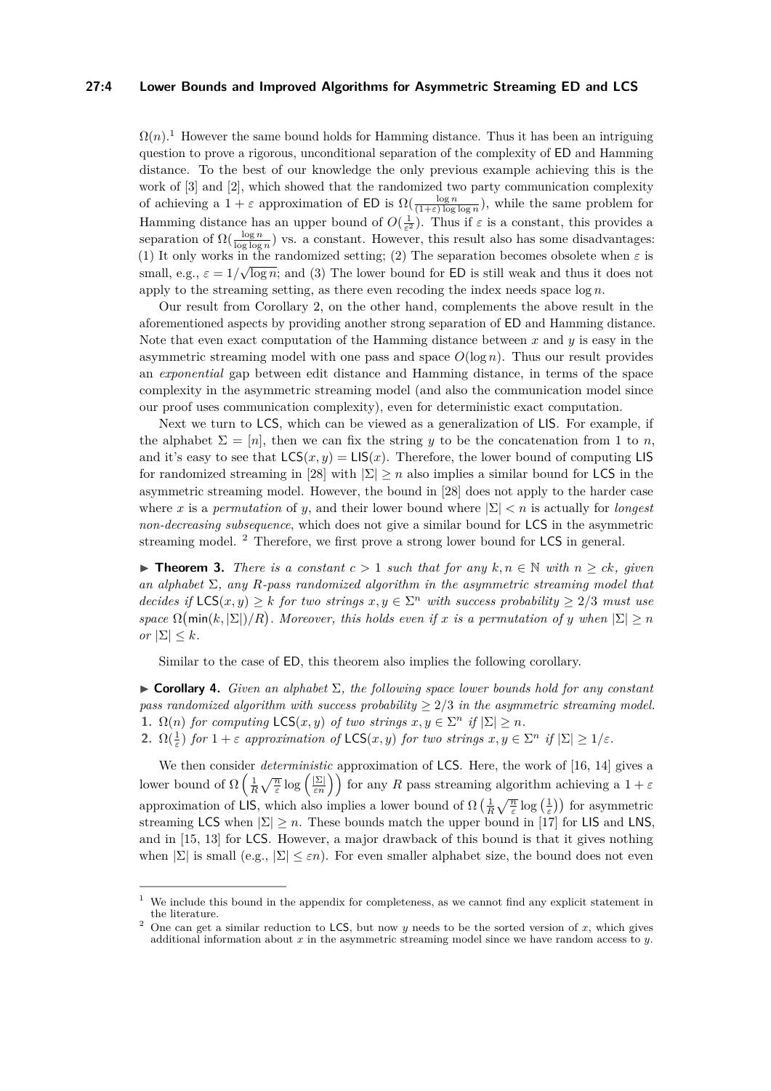## **27:4 Lower Bounds and Improved Algorithms for Asymmetric Streaming ED and LCS**

 $\Omega(n)$ <sup>[1](#page-3-0)</sup>. However the same bound holds for Hamming distance. Thus it has been an intriguing question to prove a rigorous, unconditional separation of the complexity of ED and Hamming distance. To the best of our knowledge the only previous example achieving this is the work of [\[3\]](#page-15-1) and [\[2\]](#page-15-2), which showed that the randomized two party communication complexity of achieving a  $1 + \varepsilon$  approximation of ED is  $\Omega(\frac{\log n}{(1+\varepsilon)\log\log n})$ , while the same problem for Hamming distance has an upper bound of  $O(\frac{1}{\varepsilon^2})$ . Thus if  $\varepsilon$  is a constant, this provides a separation of  $\Omega(\frac{\log n}{\log \log n})$  vs. a constant. However, this result also has some disadvantages: (1) It only works in the randomized setting; (2) The separation becomes obsolete when  $\varepsilon$  is small, e.g.,  $\varepsilon = 1/\sqrt{\log n}$ ; and (3) The lower bound for **ED** is still weak and thus it does not apply to the streaming setting, as there even recoding the index needs space log *n*.

Our result from Corollary [2,](#page-2-0) on the other hand, complements the above result in the aforementioned aspects by providing another strong separation of ED and Hamming distance. Note that even exact computation of the Hamming distance between *x* and *y* is easy in the asymmetric streaming model with one pass and space  $O(\log n)$ . Thus our result provides an *exponential* gap between edit distance and Hamming distance, in terms of the space complexity in the asymmetric streaming model (and also the communication model since our proof uses communication complexity), even for deterministic exact computation.

Next we turn to LCS, which can be viewed as a generalization of LIS. For example, if the alphabet  $\Sigma = [n]$ , then we can fix the string *y* to be the concatenation from 1 to *n*, and it's easy to see that  $\mathsf{LCS}(x, y) = \mathsf{LIS}(x)$ . Therefore, the lower bound of computing LIS for randomized streaming in [\[28\]](#page-17-1) with  $|\Sigma| \geq n$  also implies a similar bound for LCS in the asymmetric streaming model. However, the bound in [\[28\]](#page-17-1) does not apply to the harder case where *x* is a *permutation* of *y*, and their lower bound where  $|\Sigma| < n$  is actually for *longest non-decreasing subsequence*, which does not give a similar bound for LCS in the asymmetric streaming model. [2](#page-3-1) Therefore, we first prove a strong lower bound for LCS in general.

<span id="page-3-2"></span>▶ **Theorem 3.** *There is a constant*  $c > 1$  *such that for any*  $k, n \in \mathbb{N}$  *with*  $n > ck$ *, given an alphabet* Σ*, any R-pass randomized algorithm in the asymmetric streaming model that decides if*  $\mathsf{LCS}(x, y) \geq k$  *for two strings*  $x, y \in \Sigma^n$  *with success probability*  $\geq 2/3$  *must use space*  $\Omega$ (min(k,  $|\Sigma|/R$ ). Moreover, this holds even if x is a permutation of y when  $|\Sigma| \ge n$ *or*  $|\Sigma| \leq k$ *.* 

Similar to the case of ED, this theorem also implies the following corollary.

▶ **Corollary 4.** *Given an alphabet* Σ*, the following space lower bounds hold for any constant pass randomized algorithm with success probability* ≥ 2*/*3 *in the asymmetric streaming model.* **1.**  $\Omega(n)$  *for computing*  $\textsf{LCS}(x, y)$  *of two strings*  $x, y \in \Sigma^n$  *if*  $|\Sigma| \geq n$ *.* 

**2.**  $\Omega(\frac{1}{\varepsilon})$  *for*  $1 + \varepsilon$  *approximation of*  $\mathsf{LCS}(x, y)$  *for two strings*  $x, y \in \Sigma^n$  *if*  $|\Sigma| \geq 1/\varepsilon$ *.* 

We then consider *deterministic* approximation of LCS. Here, the work of [\[16,](#page-16-0) [14\]](#page-16-1) gives a lower bound of  $\Omega\left(\frac{1}{R}\sqrt{\frac{n}{\varepsilon}}\log\left(\frac{|\Sigma|}{\varepsilon n}\right)\right)$  for any *R* pass streaming algorithm achieving a  $1+\varepsilon$ approximation of LIS, which also implies a lower bound of  $\Omega\left(\frac{1}{R}\sqrt{\frac{n}{\varepsilon}}\log\left(\frac{1}{\varepsilon}\right)\right)$  for asymmetric streaming LCS when  $|\Sigma| \geq n$ . These bounds match the upper bound in [\[17\]](#page-16-16) for LIS and LNS, and in [\[15,](#page-16-2) [13\]](#page-16-3) for LCS. However, a major drawback of this bound is that it gives nothing when  $|\Sigma|$  is small (e.g.,  $|\Sigma| \leq \varepsilon n$ ). For even smaller alphabet size, the bound does not even

<span id="page-3-0"></span> $1$  We include this bound in the appendix for completeness, as we cannot find any explicit statement in the literature.

<span id="page-3-1"></span><sup>&</sup>lt;sup>2</sup> One can get a similar reduction to LCS, but now *y* needs to be the sorted version of *x*, which gives additional information about *x* in the asymmetric streaming model since we have random access to *y*.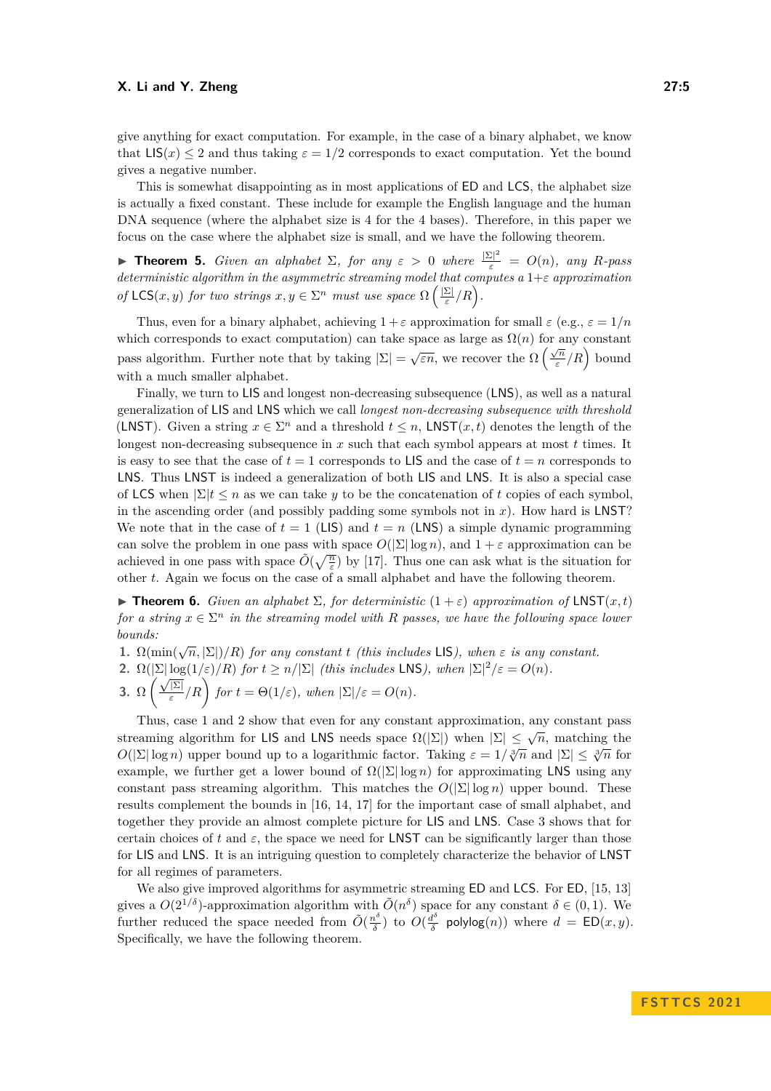give anything for exact computation. For example, in the case of a binary alphabet, we know that  $LIS(x) \leq 2$  and thus taking  $\varepsilon = 1/2$  corresponds to exact computation. Yet the bound gives a negative number.

This is somewhat disappointing as in most applications of ED and LCS, the alphabet size is actually a fixed constant. These include for example the English language and the human DNA sequence (where the alphabet size is 4 for the 4 bases). Therefore, in this paper we focus on the case where the alphabet size is small, and we have the following theorem.

<span id="page-4-0"></span>**Find 15.** *Given an alphabet*  $\Sigma$ *, for any*  $\varepsilon > 0$  *where*  $\frac{|\Sigma|^2}{\varepsilon} = O(n)$ *, any R-pass deterministic algorithm in the asymmetric streaming model that computes a* 1+*ε approximation of*  $\mathsf{LCS}(x, y)$  *for two strings*  $x, y \in \Sigma^n$  *must use space*  $\Omega$   $\left(\frac{|\Sigma|}{\varepsilon}\right)$ *ε /R .*

Thus, even for a binary alphabet, achieving  $1 + \varepsilon$  approximation for small  $\varepsilon$  (e.g.,  $\varepsilon = 1/n$ which corresponds to exact computation) can take space as large as  $\Omega(n)$  for any constant pass algorithm. Further note that by taking  $|\Sigma| = \sqrt{\varepsilon n}$ , we recover the  $\Omega\left(\frac{\sqrt{n}}{\varepsilon}\right)$  $\sqrt{\frac{n}{\varepsilon}}/R$  bound with a much smaller alphabet.

Finally, we turn to LIS and longest non-decreasing subsequence (LNS), as well as a natural generalization of LIS and LNS which we call *longest non-decreasing subsequence with threshold* (LNST). Given a string  $x \in \Sigma^n$  and a threshold  $t \leq n$ , LNST( $x, t$ ) denotes the length of the longest non-decreasing subsequence in *x* such that each symbol appears at most *t* times. It is easy to see that the case of  $t = 1$  corresponds to LIS and the case of  $t = n$  corresponds to LNS. Thus LNST is indeed a generalization of both LIS and LNS. It is also a special case of LCS when  $|\Sigma|$ *t*  $\leq n$  as we can take *y* to be the concatenation of *t* copies of each symbol. in the ascending order (and possibly padding some symbols not in *x*). How hard is LNST? We note that in the case of  $t = 1$  (LIS) and  $t = n$  (LNS) a simple dynamic programming can solve the problem in one pass with space  $O(|\Sigma| \log n)$ , and  $1 + \varepsilon$  approximation can be achieved in one pass with space  $\tilde{O}(\sqrt{\frac{n}{\varepsilon}})$  by [\[17\]](#page-16-16). Thus one can ask what is the situation for other *t*. Again we focus on the case of a small alphabet and have the following theorem.

<span id="page-4-1"></span> $\blacktriangleright$  **Theorem 6.** *Given an alphabet*  $\Sigma$ *, for deterministic*  $(1+\varepsilon)$  *approximation of* LNST $(x, t)$ *for a string*  $x \in \Sigma^n$  *in the streaming model with R passes, we have the following space lower bounds:*

**1.**  $\Omega(\min(\sqrt{n}, |\Sigma|)/R)$  *for any constant t (this includes* LIS), when  $\varepsilon$  *is any constant.* 

- **2.**  $\Omega(|\Sigma|\log(1/\varepsilon)/R)$  *for*  $t \ge n/|\Sigma|$  *(this includes* LNS*), when*  $|\Sigma|^2/\varepsilon = O(n)$ *.*
- 2.  $\frac{32}{12}$  lo<sub>g</sub><br>3. Ω  $\frac{\sqrt{|\Sigma|}}{5}$  $\frac{\overline{|\Sigma|}}{\varepsilon}$  *for*  $t = \Theta(1/\varepsilon)$ *, when*  $|\Sigma|/\varepsilon = O(n)$ *.*

Thus, case 1 and 2 show that even for any constant approximation, any constant pass streaming algorithm for LIS and LNS needs space  $\Omega(|\Sigma|)$  when  $|\Sigma| \leq \sqrt{n}$ , matching the *O*( $|\Sigma|$  log *n*) upper bound up to a logarithmic factor. Taking  $\varepsilon = 1/\sqrt[3]{n}$  and  $|\Sigma| \leq \sqrt[3]{n}$  for example, we further get a lower bound of  $\Omega(|\Sigma| \log n)$  for approximating LNS using any constant pass streaming algorithm. This matches the  $O(|\Sigma| \log n)$  upper bound. These results complement the bounds in [\[16,](#page-16-0) [14,](#page-16-1) [17\]](#page-16-16) for the important case of small alphabet, and together they provide an almost complete picture for LIS and LNS. Case 3 shows that for certain choices of t and  $\varepsilon$ , the space we need for LNST can be significantly larger than those for LIS and LNS. It is an intriguing question to completely characterize the behavior of LNST for all regimes of parameters.

We also give improved algorithms for asymmetric streaming ED and LCS. For ED, [\[15,](#page-16-2) [13\]](#page-16-3) gives a  $O(2^{1/\delta})$ -approximation algorithm with  $\tilde{O}(n^{\delta})$  space for any constant  $\delta \in (0,1)$ . We further reduced the space needed from  $\tilde{O}(\frac{n^{\delta}}{\delta})$  $\frac{a^{\delta}}{\delta}$ ) to  $O(\frac{d^{\delta}}{\delta})$  $\frac{d^b}{\delta}$  polylog $(n)$ ) where  $d = \mathsf{ED}(x, y)$ . Specifically, we have the following theorem.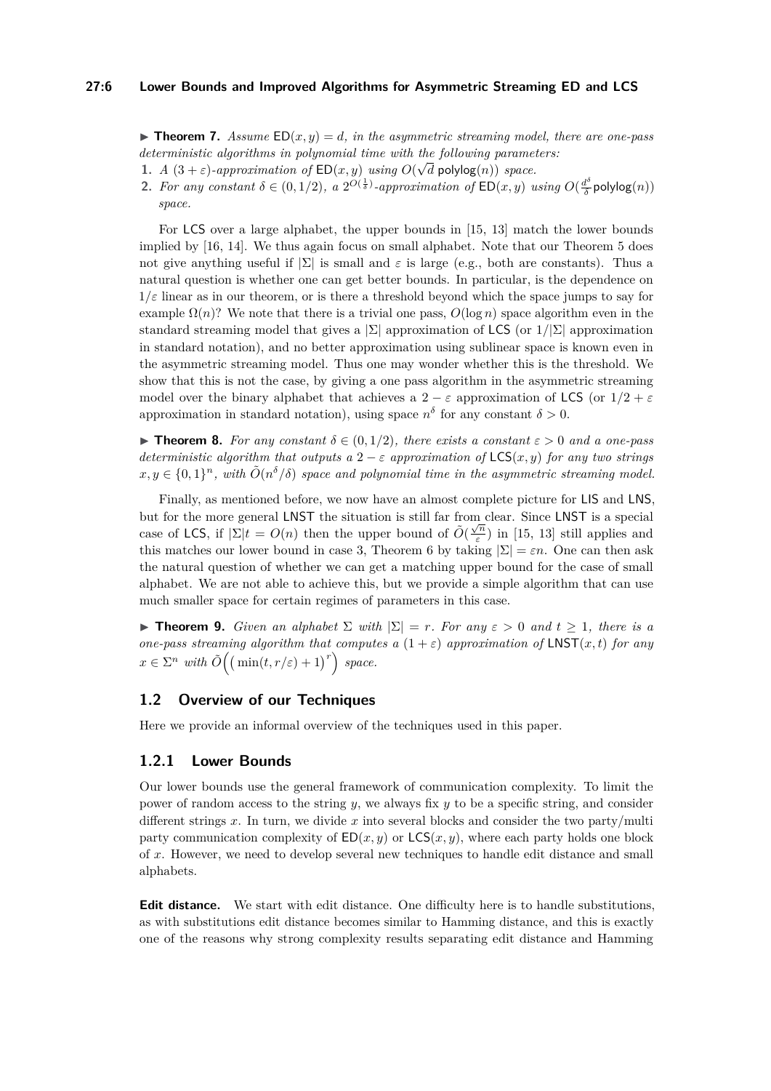## **27:6 Lower Bounds and Improved Algorithms for Asymmetric Streaming ED and LCS**

 $\blacktriangleright$  **Theorem 7.** Assume  $ED(x, y) = d$ , in the asymmetric streaming model, there are one-pass *deterministic algorithms in polynomial time with the following parameters:* 

- **1.** *A*  $(3 + \varepsilon)$ -approximation of  $ED(x, y)$  using  $O(\sqrt{d} \text{ polylog}(n))$  space.
- **2.** For any constant  $\delta \in (0,1/2)$ , a  $2^{O(\frac{1}{\delta})}$ -approximation of  $ED(x,y)$  using  $O(\frac{d^{\delta}}{\delta})$ *δ* polylog(*n*)) *space.*

For LCS over a large alphabet, the upper bounds in [\[15,](#page-16-2) [13\]](#page-16-3) match the lower bounds implied by [\[16,](#page-16-0) [14\]](#page-16-1). We thus again focus on small alphabet. Note that our Theorem [5](#page-4-0) does not give anything useful if  $|\Sigma|$  is small and  $\varepsilon$  is large (e.g., both are constants). Thus a natural question is whether one can get better bounds. In particular, is the dependence on  $1/\varepsilon$  linear as in our theorem, or is there a threshold beyond which the space jumps to say for example  $\Omega(n)$ ? We note that there is a trivial one pass,  $O(\log n)$  space algorithm even in the standard streaming model that gives a |Σ| approximation of LCS (or 1*/*|Σ| approximation in standard notation), and no better approximation using sublinear space is known even in the asymmetric streaming model. Thus one may wonder whether this is the threshold. We show that this is not the case, by giving a one pass algorithm in the asymmetric streaming model over the binary alphabet that achieves a  $2 - \varepsilon$  approximation of LCS (or  $1/2 + \varepsilon$ approximation in standard notation), using space  $n^{\delta}$  for any constant  $\delta > 0$ .

▶ **Theorem 8.** *For any constant δ* ∈ (0*,* 1*/*2)*, there exists a constant ε >* 0 *and a one-pass deterministic algorithm that outputs a*  $2 - \varepsilon$  *approximation of* LCS(*x, y*) *for any two strings*  $x, y \in \{0, 1\}^n$ , with  $\tilde{O}(n^{\delta}/\delta)$  space and polynomial time in the asymmetric streaming model.

Finally, as mentioned before, we now have an almost complete picture for LIS and LNS, but for the more general LNST the situation is still far from clear. Since LNST is a special case of LCS, if  $|\Sigma|t = O(n)$  then the upper bound of  $\tilde{O}(\frac{\sqrt{n}}{\epsilon})$  $\frac{m}{\varepsilon}$ ) in [\[15,](#page-16-2) [13\]](#page-16-3) still applies and this matches our lower bound in case 3, Theorem [6](#page-4-1) by taking  $|\Sigma| = \varepsilon n$ . One can then ask the natural question of whether we can get a matching upper bound for the case of small alphabet. We are not able to achieve this, but we provide a simple algorithm that can use much smaller space for certain regimes of parameters in this case.

<span id="page-5-0"></span>**► Theorem 9.** *Given an alphabet*  $\Sigma$  *with*  $|\Sigma| = r$ *. For any*  $\varepsilon > 0$  *and*  $t \geq 1$ *, there is a one-pass streaming algorithm that computes a*  $(1 + \varepsilon)$  *approximation of* LNST $(x, t)$  *for any*  $x \in \Sigma^n$  *with*  $\tilde{O}((\min(t, r/\varepsilon) + 1)^r)$  *space.* 

# **1.2 Overview of our Techniques**

Here we provide an informal overview of the techniques used in this paper.

# **1.2.1 Lower Bounds**

Our lower bounds use the general framework of communication complexity. To limit the power of random access to the string *y*, we always fix *y* to be a specific string, and consider different strings *x*. In turn, we divide *x* into several blocks and consider the two party/multi party communication complexity of  $ED(x, y)$  or  $LCS(x, y)$ , where each party holds one block of *x*. However, we need to develop several new techniques to handle edit distance and small alphabets.

**Edit distance.** We start with edit distance. One difficulty here is to handle substitutions, as with substitutions edit distance becomes similar to Hamming distance, and this is exactly one of the reasons why strong complexity results separating edit distance and Hamming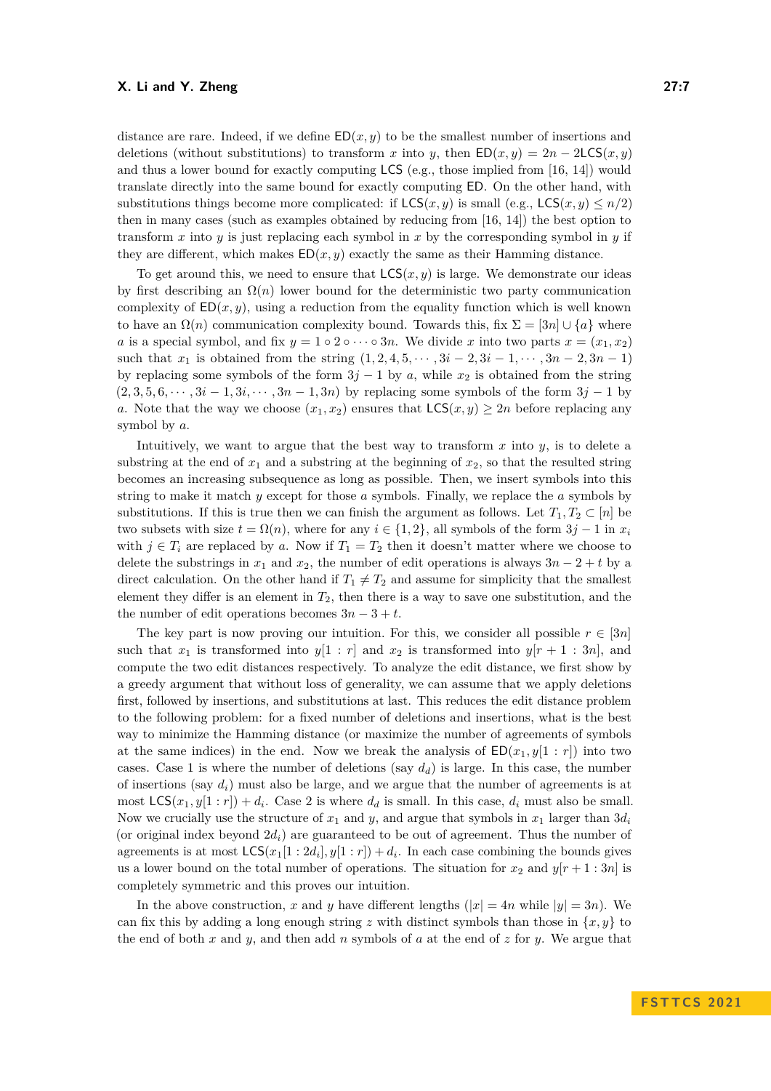distance are rare. Indeed, if we define  $ED(x, y)$  to be the smallest number of insertions and deletions (without substitutions) to transform *x* into *y*, then  $ED(x, y) = 2n - 2LCS(x, y)$ and thus a lower bound for exactly computing LCS (e.g., those implied from [\[16,](#page-16-0) [14\]](#page-16-1)) would translate directly into the same bound for exactly computing ED. On the other hand, with substitutions things become more complicated: if  $LCS(x, y)$  is small (e.g.,  $LCS(x, y) \leq n/2$ ) then in many cases (such as examples obtained by reducing from [\[16,](#page-16-0) [14\]](#page-16-1)) the best option to transform *x* into *y* is just replacing each symbol in *x* by the corresponding symbol in *y* if they are different, which makes  $ED(x, y)$  exactly the same as their Hamming distance.

To get around this, we need to ensure that  $LCS(x, y)$  is large. We demonstrate our ideas by first describing an  $\Omega(n)$  lower bound for the deterministic two party communication complexity of  $ED(x, y)$ , using a reduction from the equality function which is well known to have an  $\Omega(n)$  communication complexity bound. Towards this, fix  $\Sigma = \langle 3n \rangle \cup \{a\}$  where *a* is a special symbol, and fix  $y = 1 \circ 2 \circ \cdots \circ 3n$ . We divide *x* into two parts  $x = (x_1, x_2)$ such that  $x_1$  is obtained from the string  $(1, 2, 4, 5, \dots, 3i - 2, 3i - 1, \dots, 3n - 2, 3n - 1)$ by replacing some symbols of the form  $3j - 1$  by *a*, while  $x_2$  is obtained from the string  $(2,3,5,6,\dots,3i-1,3i,\dots,3n-1,3n)$  by replacing some symbols of the form  $3j-1$  by *a*. Note that the way we choose  $(x_1, x_2)$  ensures that  $\mathsf{LCS}(x, y) \geq 2n$  before replacing any symbol by *a*.

Intuitively, we want to argue that the best way to transform  $x$  into  $y$ , is to delete a substring at the end of  $x_1$  and a substring at the beginning of  $x_2$ , so that the resulted string becomes an increasing subsequence as long as possible. Then, we insert symbols into this string to make it match *y* except for those *a* symbols. Finally, we replace the *a* symbols by substitutions. If this is true then we can finish the argument as follows. Let  $T_1, T_2 \subset [n]$  be two subsets with size  $t = \Omega(n)$ , where for any  $i \in \{1, 2\}$ , all symbols of the form  $3j - 1$  in  $x_i$ with  $j \in T_i$  are replaced by a. Now if  $T_1 = T_2$  then it doesn't matter where we choose to delete the substrings in  $x_1$  and  $x_2$ , the number of edit operations is always  $3n - 2 + t$  by a direct calculation. On the other hand if  $T_1 \neq T_2$  and assume for simplicity that the smallest element they differ is an element in *T*2, then there is a way to save one substitution, and the the number of edit operations becomes  $3n - 3 + t$ .

The key part is now proving our intuition. For this, we consider all possible  $r \in [3n]$ such that  $x_1$  is transformed into  $y[1 : r]$  and  $x_2$  is transformed into  $y[r + 1 : 3n]$ , and compute the two edit distances respectively. To analyze the edit distance, we first show by a greedy argument that without loss of generality, we can assume that we apply deletions first, followed by insertions, and substitutions at last. This reduces the edit distance problem to the following problem: for a fixed number of deletions and insertions, what is the best way to minimize the Hamming distance (or maximize the number of agreements of symbols at the same indices) in the end. Now we break the analysis of  $ED(x_1, y[1 : r])$  into two cases. Case 1 is where the number of deletions (say  $d_d$ ) is large. In this case, the number of insertions (say  $d_i$ ) must also be large, and we argue that the number of agreements is at most  $\textsf{LCS}(x_1, y[1:r]) + d_i$ . Case 2 is where  $d_d$  is small. In this case,  $d_i$  must also be small. Now we crucially use the structure of  $x_1$  and  $y$ , and argue that symbols in  $x_1$  larger than  $3d_i$ (or original index beyond  $2d_i$ ) are guaranteed to be out of agreement. Thus the number of agreements is at most  $\mathsf{LCS}(x_1[1:2d_i], y[1:r]) + d_i$ . In each case combining the bounds gives us a lower bound on the total number of operations. The situation for  $x_2$  and  $y[r+1:3n]$  is completely symmetric and this proves our intuition.

In the above construction, *x* and *y* have different lengths  $(|x| = 4n$  while  $|y| = 3n$ ). We can fix this by adding a long enough string *z* with distinct symbols than those in  $\{x, y\}$  to the end of both *x* and *y*, and then add *n* symbols of *a* at the end of *z* for *y*. We argue that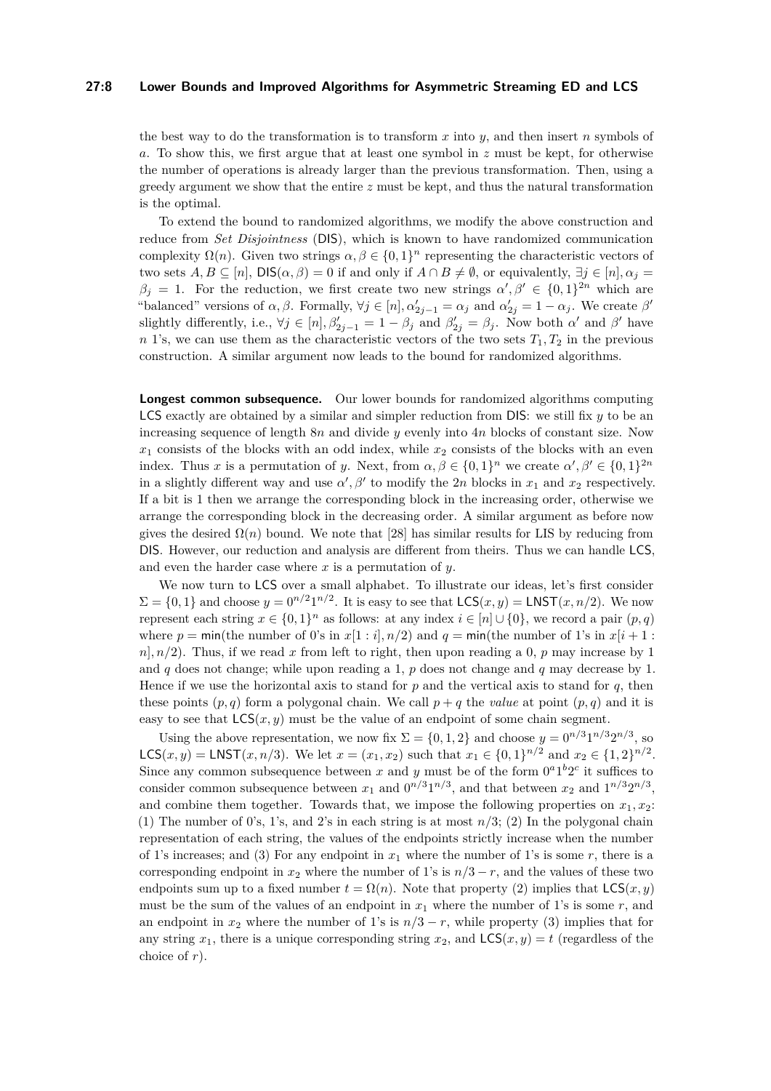## **27:8 Lower Bounds and Improved Algorithms for Asymmetric Streaming ED and LCS**

the best way to do the transformation is to transform *x* into *y*, and then insert *n* symbols of *a*. To show this, we first argue that at least one symbol in *z* must be kept, for otherwise the number of operations is already larger than the previous transformation. Then, using a greedy argument we show that the entire *z* must be kept, and thus the natural transformation is the optimal.

To extend the bound to randomized algorithms, we modify the above construction and reduce from *Set Disjointness* (DIS), which is known to have randomized communication complexity  $\Omega(n)$ . Given two strings  $\alpha, \beta \in \{0,1\}^n$  representing the characteristic vectors of two sets  $A, B \subseteq [n]$ ,  $DIS(\alpha, \beta) = 0$  if and only if  $A \cap B \neq \emptyset$ , or equivalently,  $\exists j \in [n], \alpha_j =$  $\beta_j = 1$ . For the reduction, we first create two new strings  $\alpha', \beta' \in \{0,1\}^{2n}$  which are "balanced" versions of  $\alpha, \beta$ . Formally,  $\forall j \in [n], \alpha'_{2j-1} = \alpha_j$  and  $\alpha'_{2j} = 1 - \alpha_j$ . We create  $\beta'$ slightly differently, i.e.,  $\forall j \in [n], \beta'_{2j-1} = 1 - \beta_j$  and  $\beta'_{2j} = \beta_j$ . Now both  $\alpha'$  and  $\beta'$  have *n* 1's, we can use them as the characteristic vectors of the two sets  $T_1, T_2$  in the previous construction. A similar argument now leads to the bound for randomized algorithms.

**Longest common subsequence.** Our lower bounds for randomized algorithms computing LCS exactly are obtained by a similar and simpler reduction from DIS: we still fix *y* to be an increasing sequence of length 8*n* and divide *y* evenly into 4*n* blocks of constant size. Now  $x_1$  consists of the blocks with an odd index, while  $x_2$  consists of the blocks with an even index. Thus *x* is a permutation of *y*. Next, from  $\alpha, \beta \in \{0, 1\}^n$  we create  $\alpha', \beta' \in \{0, 1\}^{2n}$ in a slightly different way and use  $\alpha'$ ,  $\beta'$  to modify the 2*n* blocks in  $x_1$  and  $x_2$  respectively. If a bit is 1 then we arrange the corresponding block in the increasing order, otherwise we arrange the corresponding block in the decreasing order. A similar argument as before now gives the desired  $\Omega(n)$  bound. We note that [\[28\]](#page-17-1) has similar results for LIS by reducing from DIS. However, our reduction and analysis are different from theirs. Thus we can handle LCS, and even the harder case where *x* is a permutation of *y*.

We now turn to LCS over a small alphabet. To illustrate our ideas, let's first consider  $\Sigma = \{0, 1\}$  and choose  $y = 0^{n/2} 1^{n/2}$ . It is easy to see that  $LCS(x, y) = LNST(x, n/2)$ . We now represent each string  $x \in \{0,1\}^n$  as follows: at any index  $i \in [n] \cup \{0\}$ , we record a pair  $(p,q)$ where  $p = \min(\text{the number of } 0\text{'s in } x[1 : i], n/2)$  and  $q = \min(\text{the number of } 1\text{'s in } x[i + 1 : i])$  $n|, n/2$ . Thus, if we read *x* from left to right, then upon reading a 0, *p* may increase by 1 and *q* does not change; while upon reading a 1, *p* does not change and *q* may decrease by 1. Hence if we use the horizontal axis to stand for  $p$  and the vertical axis to stand for  $q$ , then these points  $(p, q)$  form a polygonal chain. We call  $p + q$  the *value* at point  $(p, q)$  and it is easy to see that  $\mathsf{LCS}(x, y)$  must be the value of an endpoint of some chain segment.

Using the above representation, we now fix  $\Sigma = \{0, 1, 2\}$  and choose  $y = 0^{n/3} 1^{n/3} 2^{n/3}$ , so **LCS**(*x, y*) = **LNST**(*x, n*/3). We let *x* = (*x*<sub>1</sub>*, x*<sub>2</sub>) such that *x*<sub>1</sub> ∈ {0*,* 1}<sup>*n*/2</sup> and *x*<sub>2</sub> ∈ {1*,* 2}<sup>*n*/2</sup>. Since any common subsequence between x and y must be of the form  $0^a1^b2^c$  it suffices to consider common subsequence between  $x_1$  and  $0^{n/3}1^{n/3}$ , and that between  $x_2$  and  $1^{n/3}2^{n/3}$ , and combine them together. Towards that, we impose the following properties on  $x_1, x_2$ : (1) The number of 0's, 1's, and 2's in each string is at most *n/*3; (2) In the polygonal chain representation of each string, the values of the endpoints strictly increase when the number of 1's increases; and (3) For any endpoint in  $x_1$  where the number of 1's is some  $r$ , there is a corresponding endpoint in  $x_2$  where the number of 1's is  $n/3 - r$ , and the values of these two endpoints sum up to a fixed number  $t = \Omega(n)$ . Note that property (2) implies that  $\mathsf{LCS}(x, y)$ must be the sum of the values of an endpoint in  $x_1$  where the number of 1's is some  $r$ , and an endpoint in  $x_2$  where the number of 1's is  $n/3 - r$ , while property (3) implies that for any string  $x_1$ , there is a unique corresponding string  $x_2$ , and  $LCS(x, y) = t$  (regardless of the choice of *r*).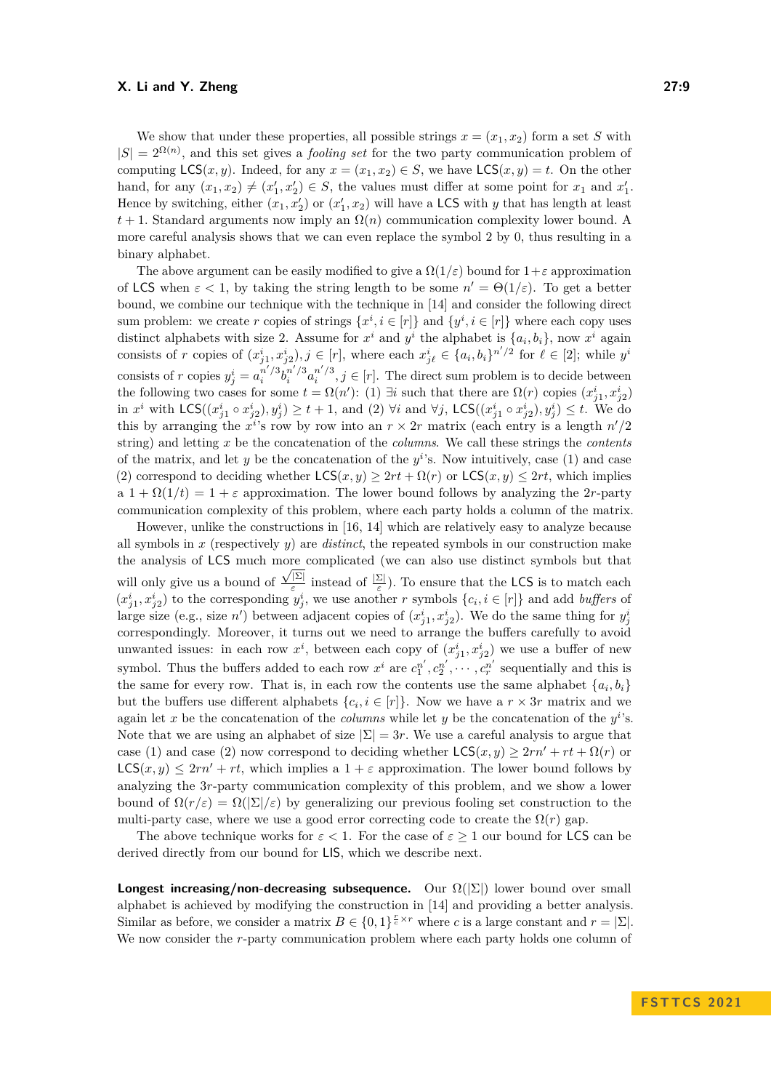We show that under these properties, all possible strings  $x = (x_1, x_2)$  form a set *S* with  $|S| = 2^{\Omega(n)}$ , and this set gives a *fooling set* for the two party communication problem of computing  $\mathsf{LCS}(x, y)$ . Indeed, for any  $x = (x_1, x_2) \in S$ , we have  $\mathsf{LCS}(x, y) = t$ . On the other hand, for any  $(x_1, x_2) \neq (x'_1, x'_2) \in S$ , the values must differ at some point for  $x_1$  and  $x'_1$ . Hence by switching, either  $(x_1, x_2)$  or  $(x_1', x_2)$  will have a LCS with *y* that has length at least  $t+1$ . Standard arguments now imply an  $\Omega(n)$  communication complexity lower bound. A more careful analysis shows that we can even replace the symbol 2 by 0, thus resulting in a binary alphabet.

The above argument can be easily modified to give a  $\Omega(1/\varepsilon)$  bound for  $1+\varepsilon$  approximation of LCS when  $\varepsilon$  < 1, by taking the string length to be some  $n' = \Theta(1/\varepsilon)$ . To get a better bound, we combine our technique with the technique in [\[14\]](#page-16-1) and consider the following direct sum problem: we create *r* copies of strings  $\{x^i, i \in [r]\}$  and  $\{y^i, i \in [r]\}$  where each copy uses distinct alphabets with size 2. Assume for  $x^i$  and  $y^i$  the alphabet is  $\{a_i, b_i\}$ , now  $x^i$  again consists of r copies of  $(x_{j1}^i, x_{j2}^i), j \in [r]$ , where each  $x_{j\ell}^i \in \{a_i, b_i\}^{n'/2}$  for  $\ell \in [2]$ ; while  $y^i$ consists of r copies  $y_j^i = a_i^{n'/3} b_i^{n'/3} a_i^{n'/3}$ ,  $j \in [r]$ . The direct sum problem is to decide between the following two cases for some  $t = \Omega(n')$ : (1)  $\exists i$  such that there are  $\Omega(r)$  copies  $(x_{j1}^i, x_{j2}^i)$ in  $x^i$  with  $\mathsf{LCS}((x_{j1}^i \circ x_{j2}^i), y_j^i) \geq t+1$ , and (2)  $\forall i$  and  $\forall j$ ,  $\mathsf{LCS}((x_{j1}^i \circ x_{j2}^i), y_j^i) \leq t$ . We do this by arranging the  $x^i$ 's row by row into an  $r \times 2r$  matrix (each entry is a length  $n'/2$ string) and letting *x* be the concatenation of the *columns*. We call these strings the *contents* of the matrix, and let  $y$  be the concatenation of the  $y<sup>i</sup>$ 's. Now intuitively, case (1) and case (2) correspond to deciding whether  $LCS(x, y) \geq 2rt + \Omega(r)$  or  $LCS(x, y) \leq 2rt$ , which implies a  $1 + \Omega(1/t) = 1 + \varepsilon$  approximation. The lower bound follows by analyzing the 2*r*-party communication complexity of this problem, where each party holds a column of the matrix.

However, unlike the constructions in [\[16,](#page-16-0) [14\]](#page-16-1) which are relatively easy to analyze because all symbols in *x* (respectively *y*) are *distinct*, the repeated symbols in our construction make the analysis of LCS much more complicated (we can also use distinct symbols but that will only give us a bound of  $\frac{\sqrt{|\Sigma|}}{s}$ <sup>[2]</sup> instead of  $\frac{|\Sigma|}{\varepsilon}$ . To ensure that the **LCS** is to match each  $(x_j^i, x_{j2}^i)$  to the corresponding  $y_j^i$ , we use another *r* symbols  $\{c_i, i \in [r]\}$  and add *buffers* of large size (e.g., size *n'*) between adjacent copies of  $(x_{j1}^i, x_{j2}^i)$ . We do the same thing for  $y_j^i$ correspondingly. Moreover, it turns out we need to arrange the buffers carefully to avoid unwanted issues: in each row  $x^i$ , between each copy of  $(x^i_{j1}, x^i_{j2})$  we use a buffer of new symbol. Thus the buffers added to each row  $x^i$  are  $c_1^{n'}, c_2^{n'}, \cdots, c_r^{n'}$  sequentially and this is the same for every row. That is, in each row the contents use the same alphabet  $\{a_i, b_i\}$ but the buffers use different alphabets  $\{c_i, i \in [r]\}$ . Now we have a  $r \times 3r$  matrix and we again let x be the concatenation of the *columns* while let y be the concatenation of the  $y^i$ 's. Note that we are using an alphabet of size  $|\Sigma| = 3r$ . We use a careful analysis to argue that case (1) and case (2) now correspond to deciding whether  $LCS(x, y) \ge 2rn' + rt + \Omega(r)$  or  $LCS(x, y) \leq 2rn' + rt$ , which implies a  $1 + \varepsilon$  approximation. The lower bound follows by analyzing the 3*r*-party communication complexity of this problem, and we show a lower bound of  $\Omega(r/\varepsilon) = \Omega(|\Sigma|/\varepsilon)$  by generalizing our previous fooling set construction to the multi-party case, where we use a good error correcting code to create the  $\Omega(r)$  gap.

The above technique works for  $\varepsilon < 1$ . For the case of  $\varepsilon \geq 1$  our bound for LCS can be derived directly from our bound for LIS, which we describe next.

**Longest increasing/non-decreasing subsequence.** Our  $\Omega(|\Sigma|)$  lower bound over small alphabet is achieved by modifying the construction in [\[14\]](#page-16-1) and providing a better analysis. Similar as before, we consider a matrix  $B \in \{0,1\}^{\frac{r}{c} \times r}$  where *c* is a large constant and  $r = |\Sigma|$ . We now consider the *r*-party communication problem where each party holds one column of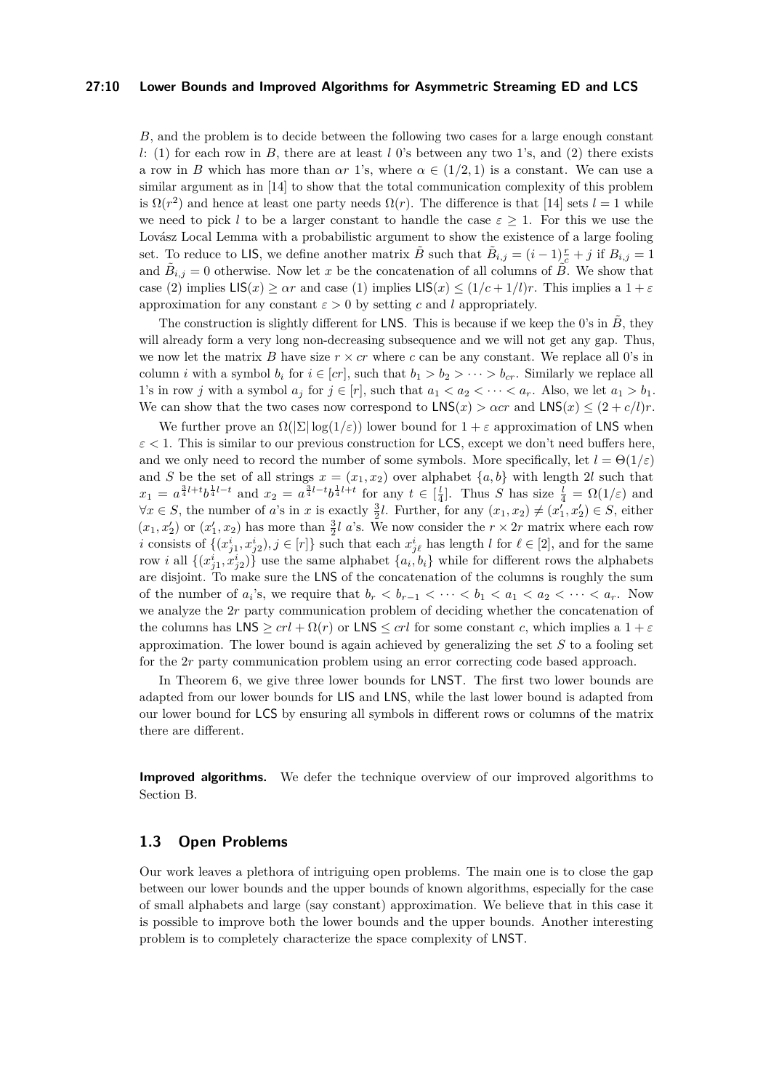#### **27:10 Lower Bounds and Improved Algorithms for Asymmetric Streaming ED and LCS**

*B*, and the problem is to decide between the following two cases for a large enough constant *l*: (1) for each row in *B*, there are at least *l* 0's between any two 1's, and (2) there exists a row in *B* which has more than  $\alpha r$  1's, where  $\alpha \in (1/2, 1)$  is a constant. We can use a similar argument as in [\[14\]](#page-16-1) to show that the total communication complexity of this problem is  $\Omega(r^2)$  and hence at least one party needs  $\Omega(r)$ . The difference is that [\[14\]](#page-16-1) sets  $l = 1$  while we need to pick *l* to be a larger constant to handle the case  $\varepsilon > 1$ . For this we use the Lovász Local Lemma with a probabilistic argument to show the existence of a large fooling set. To reduce to LIS, we define another matrix  $\tilde{B}$  such that  $\tilde{B}_{i,j} = (i-1)\frac{r}{c} + j$  if  $B_{i,j} = 1$ and  $\tilde{B}_{i,j} = 0$  otherwise. Now let *x* be the concatenation of all columns of  $\tilde{B}$ . We show that case (2) implies  $LS(x) \geq \alpha r$  and case (1) implies  $LS(x) \leq (1/c + 1/l)r$ . This implies a  $1 + \varepsilon$ approximation for any constant  $\varepsilon > 0$  by setting *c* and *l* appropriately.

The construction is slightly different for LNS. This is because if we keep the 0's in  $\tilde{B}$ , they will already form a very long non-decreasing subsequence and we will not get any gap. Thus, we now let the matrix *B* have size  $r \times cr$  where *c* can be any constant. We replace all 0's in column *i* with a symbol  $b_i$  for  $i \in [cr]$ , such that  $b_1 > b_2 > \cdots > b_{cr}$ . Similarly we replace all 1's in row *j* with a symbol  $a_j$  for  $j \in [r]$ , such that  $a_1 < a_2 < \cdots < a_r$ . Also, we let  $a_1 > b_1$ . We can show that the two cases now correspond to  $LNS(x) > \alpha cr$  and  $LNS(x) \leq (2 + c/l)r$ .

We further prove an  $\Omega(|\Sigma| \log(1/\varepsilon))$  lower bound for  $1+\varepsilon$  approximation of LNS when  $\varepsilon$  < 1. This is similar to our previous construction for LCS, except we don't need buffers here, and we only need to record the number of some symbols. More specifically, let  $l = \Theta(1/\varepsilon)$ and *S* be the set of all strings  $x = (x_1, x_2)$  over alphabet  $\{a, b\}$  with length 2*l* such that  $x_1 = a^{\frac{3}{4}l+t}b^{\frac{1}{4}l-t}$  and  $x_2 = a^{\frac{3}{4}l-t}b^{\frac{1}{4}l+t}$  for any  $t \in \left[\frac{l}{4}\right]$ . Thus S has size  $\frac{l}{4} = \Omega(1/\varepsilon)$  and  $\forall x \in S$ , the number of *a*'s in *x* is exactly  $\frac{3}{2}l$ . Further, for any  $(x_1, x_2) \neq (x'_1, x'_2) \in S$ , either  $(x_1, x_2)$  or  $(x_1', x_2)$  has more than  $\frac{3}{2}l$  a's. We now consider the  $r \times 2r$  matrix where each row *i* consists of  $\{(x_{j1}^i, x_{j2}^i), j \in [r]\}$  such that each  $x_{j\ell}^i$  has length *l* for  $\ell \in [2]$ , and for the same row *i* all  $\{(x_{j1}^i, x_{j2}^i)\}$  use the same alphabet  $\{a_i, b_i\}$  while for different rows the alphabets are disjoint. To make sure the LNS of the concatenation of the columns is roughly the sum of the number of  $a_i$ 's, we require that  $b_r < b_{r-1} < \cdots < b_1 < a_1 < a_2 < \cdots < a_r$ . Now we analyze the 2*r* party communication problem of deciding whether the concatenation of the columns has  $LNS \geq crl + \Omega(r)$  or  $LNS \leq crl$  for some constant *c*, which implies a  $1 + \varepsilon$ approximation. The lower bound is again achieved by generalizing the set *S* to a fooling set for the 2*r* party communication problem using an error correcting code based approach.

In Theorem [6,](#page-4-1) we give three lower bounds for LNST. The first two lower bounds are adapted from our lower bounds for LIS and LNS, while the last lower bound is adapted from our lower bound for LCS by ensuring all symbols in different rows or columns of the matrix there are different.

**Improved algorithms.** We defer the technique overview of our improved algorithms to Section [B.](#page-20-0)

## **1.3 Open Problems**

Our work leaves a plethora of intriguing open problems. The main one is to close the gap between our lower bounds and the upper bounds of known algorithms, especially for the case of small alphabets and large (say constant) approximation. We believe that in this case it is possible to improve both the lower bounds and the upper bounds. Another interesting problem is to completely characterize the space complexity of LNST.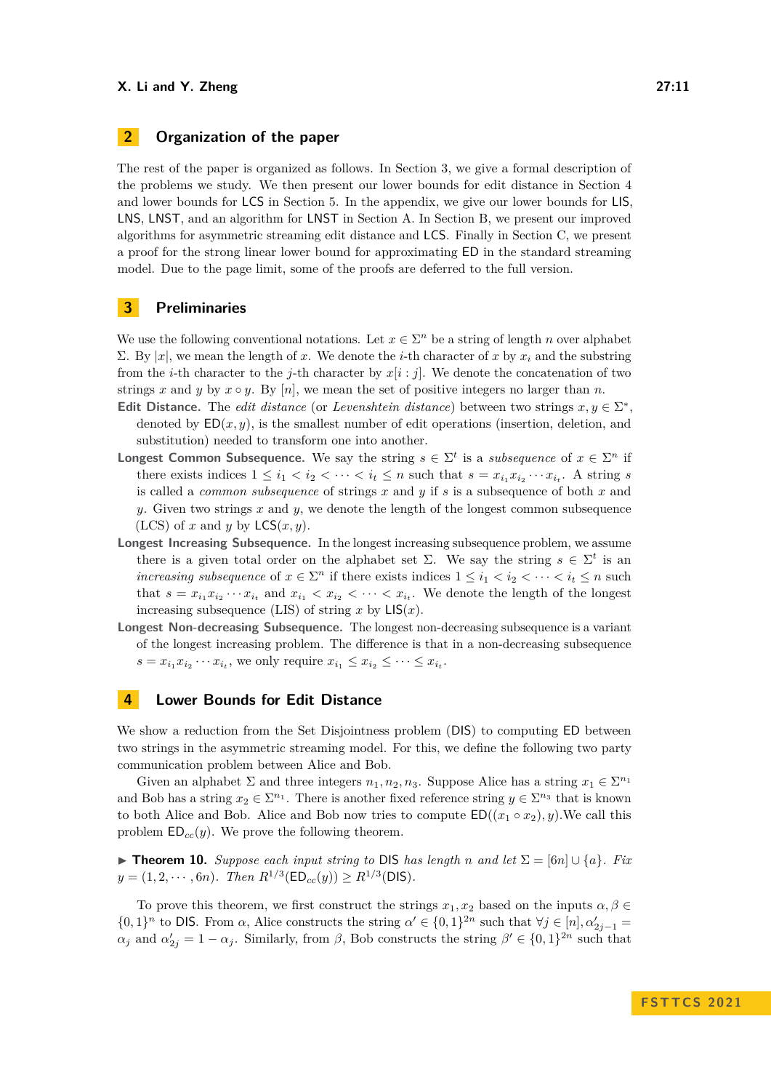# **2 Organization of the paper**

The rest of the paper is organized as follows. In Section [3,](#page-10-0) we give a formal description of the problems we study. We then present our lower bounds for edit distance in Section [4](#page-10-1) and lower bounds for LCS in Section [5.](#page-14-0) In the appendix, we give our lower bounds for LIS, LNS, LNST, and an algorithm for LNST in Section [A.](#page-17-6) In Section [B,](#page-20-0) we present our improved algorithms for asymmetric streaming edit distance and LCS. Finally in Section [C,](#page-22-0) we present a proof for the strong linear lower bound for approximating ED in the standard streaming model. Due to the page limit, some of the proofs are deferred to the full version.

# <span id="page-10-0"></span>**3 Preliminaries**

We use the following conventional notations. Let  $x \in \Sigma^n$  be a string of length *n* over alphabet Σ. By |*x*|, we mean the length of *x*. We denote the *i*-th character of *x* by *x<sup>i</sup>* and the substring from the *i*-th character to the *j*-th character by  $x[i : j]$ . We denote the concatenation of two strings x and y by  $x \circ y$ . By [n], we mean the set of positive integers no larger than n.

- **Edit Distance.** The *edit distance* (or *Levenshtein distance*) between two strings  $x, y \in \Sigma^*$ , denoted by  $ED(x, y)$ , is the smallest number of edit operations (insertion, deletion, and substitution) needed to transform one into another.
- **Longest Common Subsequence.** We say the string  $s \in \Sigma^t$  is a *subsequence* of  $x \in \Sigma^n$  if there exists indices  $1 \leq i_1 < i_2 < \cdots < i_t \leq n$  such that  $s = x_{i_1} x_{i_2} \cdots x_{i_t}$ . A string *s* is called a *common subsequence* of strings *x* and *y* if *s* is a subsequence of both *x* and *y*. Given two strings *x* and *y*, we denote the length of the longest common subsequence (LCS) of *x* and *y* by  $LCS(x, y)$ .
- **Longest Increasing Subsequence.** In the longest increasing subsequence problem, we assume there is a given total order on the alphabet set  $\Sigma$ . We say the string  $s \in \Sigma^t$  is an *increasing subsequence* of  $x \in \Sigma^n$  if there exists indices  $1 \leq i_1 < i_2 < \cdots < i_t \leq n$  such that  $s = x_{i_1} x_{i_2} \cdots x_{i_t}$  and  $x_{i_1} < x_{i_2} < \cdots < x_{i_t}$ . We denote the length of the longest increasing subsequence (LIS) of string x by  $LIS(x)$ .
- **Longest Non-decreasing Subsequence.** The longest non-decreasing subsequence is a variant of the longest increasing problem. The difference is that in a non-decreasing subsequence  $s = x_{i_1} x_{i_2} \cdots x_{i_t}$ , we only require  $x_{i_1} \leq x_{i_2} \leq \cdots \leq x_{i_t}$ .

# <span id="page-10-1"></span>**4 Lower Bounds for Edit Distance**

We show a reduction from the Set Disjointness problem (DIS) to computing ED between two strings in the asymmetric streaming model. For this, we define the following two party communication problem between Alice and Bob.

Given an alphabet  $\Sigma$  and three integers  $n_1, n_2, n_3$ . Suppose Alice has a string  $x_1 \in \Sigma^{n_1}$ and Bob has a string  $x_2 \in \Sigma^{n_1}$ . There is another fixed reference string  $y \in \Sigma^{n_3}$  that is known to both Alice and Bob. Alice and Bob now tries to compute  $ED((x_1 \circ x_2), y)$ . We call this problem  $ED_{cc}(y)$ . We prove the following theorem.

<span id="page-10-2"></span>▶ **Theorem 10.** *Suppose each input string to* DIS *has length n* and let  $\Sigma = \{6n \} \cup \{a\}$ . Fix  $y = (1, 2, \dots, 6n)$ *. Then*  $R^{1/3}(\mathsf{ED}_{cc}(y)) \geq R^{1/3}(\mathsf{DIS})$ *.* 

To prove this theorem, we first construct the strings  $x_1, x_2$  based on the inputs  $\alpha, \beta \in$  $\{0,1\}^n$  to DIS. From  $\alpha$ , Alice constructs the string  $\alpha' \in \{0,1\}^{2n}$  such that  $\forall j \in [n], \alpha'_{2j-1} =$  $\alpha_j$  and  $\alpha'_{2j} = 1 - \alpha_j$ . Similarly, from *β*, Bob constructs the string  $\beta' \in \{0,1\}^{2n}$  such that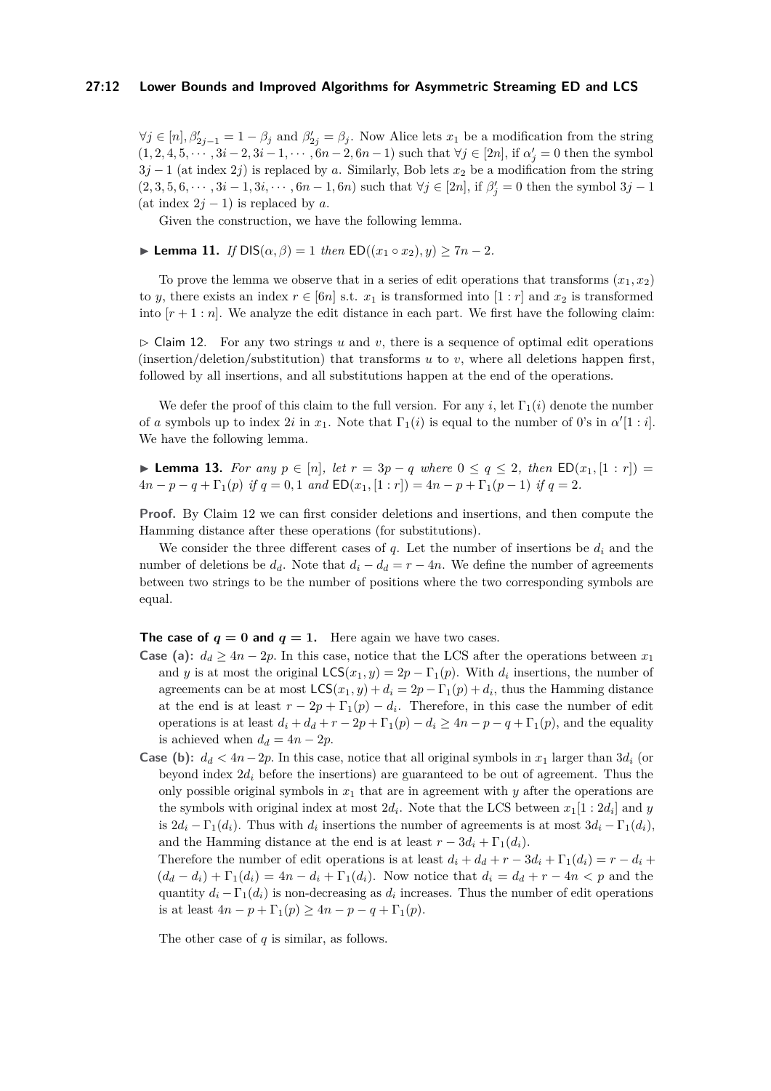#### **27:12 Lower Bounds and Improved Algorithms for Asymmetric Streaming ED and LCS**

 $\forall j \in [n], \beta'_{2j-1} = 1 - \beta_j$  and  $\beta'_{2j} = \beta_j$ . Now Alice lets  $x_1$  be a modification from the string  $(1, 2, 4, 5, \cdots, 3i-2, 3i-1, \cdots, 6n-2, 6n-1)$  such that  $\forall j \in [2n]$ , if  $\alpha'_j = 0$  then the symbol  $3j - 1$  (at index 2*j*) is replaced by *a*. Similarly, Bob lets  $x_2$  be a modification from the string  $(2,3,5,6,\dots,3i-1,3i,\dots,6n-1,6n)$  such that  $\forall j \in [2n]$ , if  $\beta'_j = 0$  then the symbol  $3j-1$ (at index  $2j - 1$ ) is replaced by *a*.

Given the construction, we have the following lemma.

<span id="page-11-2"></span> $▶$  **Lemma 11.** *If* DIS( $α, β$ ) = 1 *then* ED(( $x_1 ∘ x_2$ )*, y*) > 7*n* − 2*.* 

To prove the lemma we observe that in a series of edit operations that transforms  $(x_1, x_2)$ to *y*, there exists an index  $r \in [6n]$  s.t.  $x_1$  is transformed into  $[1:r]$  and  $x_2$  is transformed into  $[r+1:n]$ . We analyze the edit distance in each part. We first have the following claim:

<span id="page-11-0"></span> $\triangleright$  Claim 12. For any two strings *u* and *v*, there is a sequence of optimal edit operations (insertion/deletion/substitution) that transforms *u* to *v*, where all deletions happen first, followed by all insertions, and all substitutions happen at the end of the operations.

We defer the proof of this claim to the full version. For any *i*, let  $\Gamma_1(i)$  denote the number of *a* symbols up to index 2*i* in  $x_1$ . Note that  $\Gamma_1(i)$  is equal to the number of 0's in  $\alpha'[1:i]$ . We have the following lemma.

<span id="page-11-1"></span>▶ **Lemma 13.** *For any*  $p \in [n]$ *, let*  $r = 3p - q$  *where*  $0 \le q \le 2$ *, then*  $ED(x_1, [1:r]) =$  $4n - p - q + \Gamma_1(p)$  *if*  $q = 0, 1$  *and*  $ED(x_1, [1:r]) = 4n - p + \Gamma_1(p-1)$  *if*  $q = 2$ *.* 

**Proof.** By Claim [12](#page-11-0) we can first consider deletions and insertions, and then compute the Hamming distance after these operations (for substitutions).

We consider the three different cases of *q*. Let the number of insertions be *d<sup>i</sup>* and the number of deletions be  $d_d$ . Note that  $d_i - d_d = r - 4n$ . We define the number of agreements between two strings to be the number of positions where the two corresponding symbols are equal.

**The case of**  $q = 0$  **and**  $q = 1$ . Here again we have two cases.

- **Case (a):**  $d_d \geq 4n 2p$ . In this case, notice that the LCS after the operations between  $x_1$ and *y* is at most the original  $LCS(x_1, y) = 2p - \Gamma_1(p)$ . With  $d_i$  insertions, the number of agreements can be at most  $LCS(x_1, y) + d_i = 2p - \Gamma_1(p) + d_i$ , thus the Hamming distance at the end is at least  $r - 2p + \Gamma_1(p) - d_i$ . Therefore, in this case the number of edit operations is at least  $d_i + d_d + r - 2p + \Gamma_1(p) - d_i \geq 4n - p - q + \Gamma_1(p)$ , and the equality is achieved when  $d_d = 4n - 2p$ .
- **Case (b):**  $d_d < 4n-2p$ . In this case, notice that all original symbols in  $x_1$  larger than  $3d_i$  (or beyond index  $2d_i$  before the insertions) are guaranteed to be out of agreement. Thus the only possible original symbols in  $x_1$  that are in agreement with  $y$  after the operations are the symbols with original index at most  $2d_i$ . Note that the LCS between  $x_1[1:2d_i]$  and  $y$ is  $2d_i - \Gamma_1(d_i)$ . Thus with  $d_i$  insertions the number of agreements is at most  $3d_i - \Gamma_1(d_i)$ , and the Hamming distance at the end is at least  $r - 3d_i + \Gamma_1(d_i)$ .

Therefore the number of edit operations is at least  $d_i + d_d + r - 3d_i + \Gamma_1(d_i) = r - d_i +$  $(d_d - d_i) + \Gamma_1(d_i) = 4n - d_i + \Gamma_1(d_i)$ . Now notice that  $d_i = d_d + r - 4n < p$  and the quantity  $d_i - \Gamma_1(d_i)$  is non-decreasing as  $d_i$  increases. Thus the number of edit operations is at least  $4n - p + \Gamma_1(p) \ge 4n - p - q + \Gamma_1(p)$ .

The other case of *q* is similar, as follows.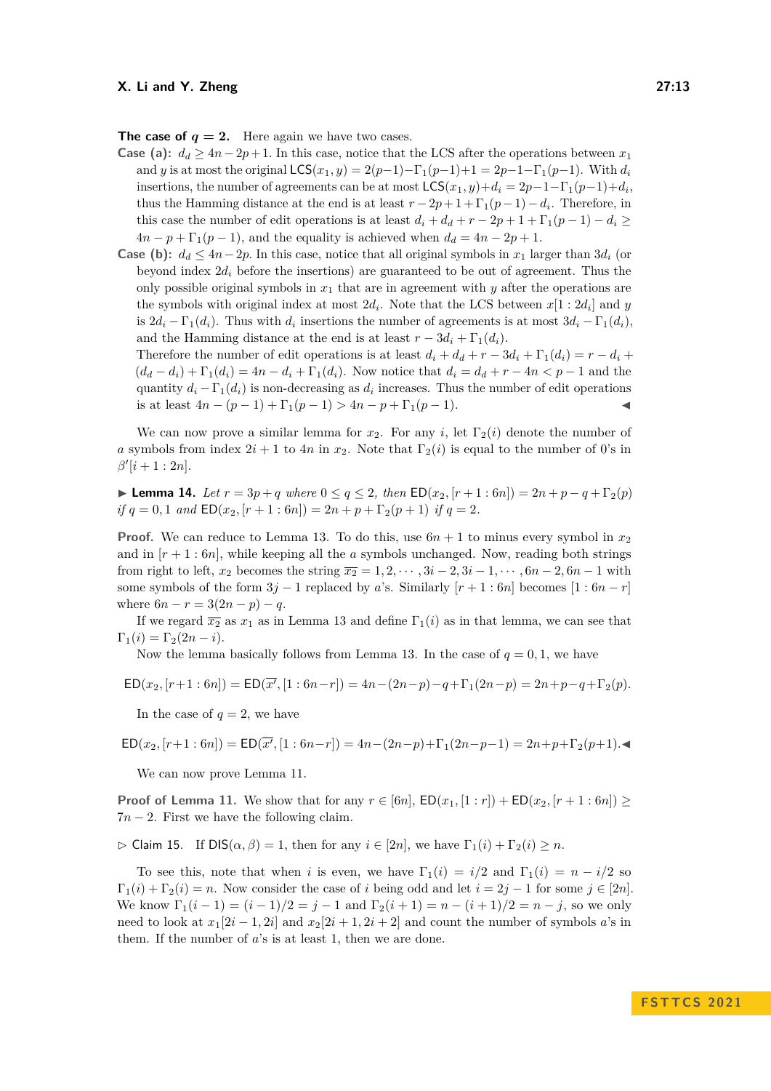**The case of**  $q = 2$ . Here again we have two cases.

- **Case** (a):  $d_d \geq 4n 2p + 1$ . In this case, notice that the LCS after the operations between  $x_1$ and *y* is at most the original  $LCS(x_1, y) = 2(p-1) - \Gamma_1(p-1) + 1 = 2p - 1 - \Gamma_1(p-1)$ . With  $d_i$ insertions, the number of agreements can be at most  $\mathsf{LCS}(x_1, y) + d_i = 2p - 1 - \Gamma_1(p-1) + d_i$ thus the Hamming distance at the end is at least  $r - 2p + 1 + \Gamma_1(p-1) - d_i$ . Therefore, in this case the number of edit operations is at least  $d_i + d_d + r - 2p + 1 + \Gamma_1(p-1) - d_i$  >  $4n - p + \Gamma_1(p - 1)$ , and the equality is achieved when  $d_d = 4n - 2p + 1$ .
- **Case (b):**  $d_d \leq 4n-2p$ . In this case, notice that all original symbols in  $x_1$  larger than  $3d_i$  (or beyond index  $2d_i$  before the insertions) are guaranteed to be out of agreement. Thus the only possible original symbols in  $x_1$  that are in agreement with  $y$  after the operations are the symbols with original index at most  $2d_i$ . Note that the LCS between  $x[1:2d_i]$  and  $y$ is  $2d_i - \Gamma_1(d_i)$ . Thus with  $d_i$  insertions the number of agreements is at most  $3d_i - \Gamma_1(d_i)$ , and the Hamming distance at the end is at least  $r - 3d_i + \Gamma_1(d_i)$ . Therefore the number of edit operations is at least  $d_i + d_d + r - 3d_i + \Gamma_1(d_i) = r - d_i +$

 $(d_d - d_i) + \Gamma_1(d_i) = 4n - d_i + \Gamma_1(d_i)$ . Now notice that  $d_i = d_i + r - 4n < p - 1$  and the quantity  $d_i - \Gamma_1(d_i)$  is non-decreasing as  $d_i$  increases. Thus the number of edit operations is at least  $4n - (p - 1) + \Gamma_1(p - 1) > 4n - p + \Gamma_1(p - 1)$ .

We can now prove a similar lemma for  $x_2$ . For any *i*, let  $\Gamma_2(i)$  denote the number of *a* symbols from index  $2i + 1$  to  $4n$  in  $x_2$ . Note that  $\Gamma_2(i)$  is equal to the number of 0's in  $\beta^{\prime}[i+1:2n].$ 

<span id="page-12-0"></span>▶ **Lemma 14.** Let  $r = 3p + q$  where  $0 \le q \le 2$ , then  $ED(x_2, [r+1:6n]) = 2n + p - q + \Gamma_2(p)$  $if q = 0, 1 \text{ and } \text{ED}(x_2, [r+1:6n]) = 2n + p + \Gamma_2(p+1) \text{ if } q = 2.$ 

**Proof.** We can reduce to Lemma [13.](#page-11-1) To do this, use  $6n + 1$  to minus every symbol in  $x_2$ and in  $[r+1:6n]$ , while keeping all the *a* symbols unchanged. Now, reading both strings from right to left,  $x_2$  becomes the string  $\overline{x_2} = 1, 2, \dots, 3i - 2, 3i - 1, \dots, 6n - 2, 6n - 1$  with some symbols of the form  $3j - 1$  replaced by *a*'s. Similarly  $[r + 1 : 6n]$  becomes  $[1 : 6n - r]$ where  $6n - r = 3(2n - p) - q$ .

If we regard  $\overline{x_2}$  as  $x_1$  as in Lemma [13](#page-11-1) and define  $\Gamma_1(i)$  as in that lemma, we can see that  $\Gamma_1(i) = \Gamma_2(2n - i).$ 

Now the lemma basically follows from Lemma [13.](#page-11-1) In the case of  $q = 0, 1$ , we have

$$
ED(x_2, [r+1:6n]) = ED(\overline{x'}, [1:6n-r]) = 4n - (2n-p) - q + \Gamma_1(2n-p) = 2n + p - q + \Gamma_2(p).
$$

In the case of  $q = 2$ , we have

$$
\mathsf{ED}(x_2,[r+1:6n]) = \mathsf{ED}(\overline{x'},[1:6n-r]) = 4n - (2n-p) + \Gamma_1(2n-p-1) = 2n + p + \Gamma_2(p+1) - \P_1(p+1) = 2n + p + \Gamma_2(p+1) - \P_2(p+1) = 2n + p + \Gamma_2(p+1) - \P_1(p+1) = 2n + p + \Gamma_2(p+1) - \P_2(p+1) = 2n + p + \Gamma_2(p+1) - \P_1(p+1) = 2n + p + \Gamma_2(p+1) - \P_2(p+1) = 2n + p + \Gamma_2(p+1) - \P_1(p+1) = 2n + p + \Gamma_2(p+1) - \P_2(p+1) = 2n + p + \Gamma_2(p+1) - \P_1(p+1) = 2n + p + \Gamma_2(p+1) - \P_2(p+1) = 2n + p + \Gamma_2(p+1) - \P_1(p+1) = 2n + p + \Gamma_2(p+1) - \P_2(p+1) = 2n + p + \Gamma_2(p+1) - \P_1(p+1) = 2n + p + \Gamma_2(p+1) - \P_1(p+1) = 2n + p + \Gamma_2(p+1) - \P_1(p+1) = 2n + p + \Gamma_2(p+1) - \P_1(p+1) = 2n + p + \Gamma_2(p+1) - \P_1(p+1) = 2n + p + \Gamma_2(p+1) - \P_1(p+1) = 2n + p + \Gamma_2(p+1) - \P_1(p+1) = 2n + p + \Gamma_2(p+1) - \P_1(p+1) = 2n + p + \Gamma_2(p+1) - \P_1(p+1) = 2n + p + \Gamma_2(p+1) - \P_1(p+1) = 2n + p + \Gamma_2(p+1) - \P_1(p+1) = 2n + p + \Gamma_2(p+1) - \P_1(p+1) = 2n + p + \Gamma_2(p+1) - \P_1(p+1) = 2n + p + \Gamma_2(p+1) - \P_1(p+1) = 2n + p + \Gamma_2(p+1) - \P_1(p+1) = 2n + p + \Gamma_2(p+1) - \P_1(p+1) = 2n + p + \Gamma_2(p+1) - \P_1(p+1) = 2n + p
$$

We can now prove Lemma [11.](#page-11-2)

**Proof of Lemma [11.](#page-11-2)** We show that for any  $r \in [6n]$ ,  $ED(x_1, [1:r]) + ED(x_2, [r+1:6n]) \ge$  $7n - 2$ . First we have the following claim.

 $\triangleright$  Claim 15. If  $DIS(\alpha, \beta) = 1$ , then for any  $i \in [2n]$ , we have  $\Gamma_1(i) + \Gamma_2(i) \geq n$ .

To see this, note that when *i* is even, we have  $\Gamma_1(i) = i/2$  and  $\Gamma_1(i) = n - i/2$  so  $\Gamma_1(i) + \Gamma_2(i) = n$ . Now consider the case of *i* being odd and let  $i = 2j - 1$  for some  $j \in [2n]$ . We know  $\Gamma_1(i-1) = (i-1)/2 = j-1$  and  $\Gamma_2(i+1) = n - (i+1)/2 = n - j$ , so we only need to look at  $x_1[2i - 1, 2i]$  and  $x_2[2i + 1, 2i + 2]$  and count the number of symbols *a*'s in them. If the number of *a*'s is at least 1, then we are done.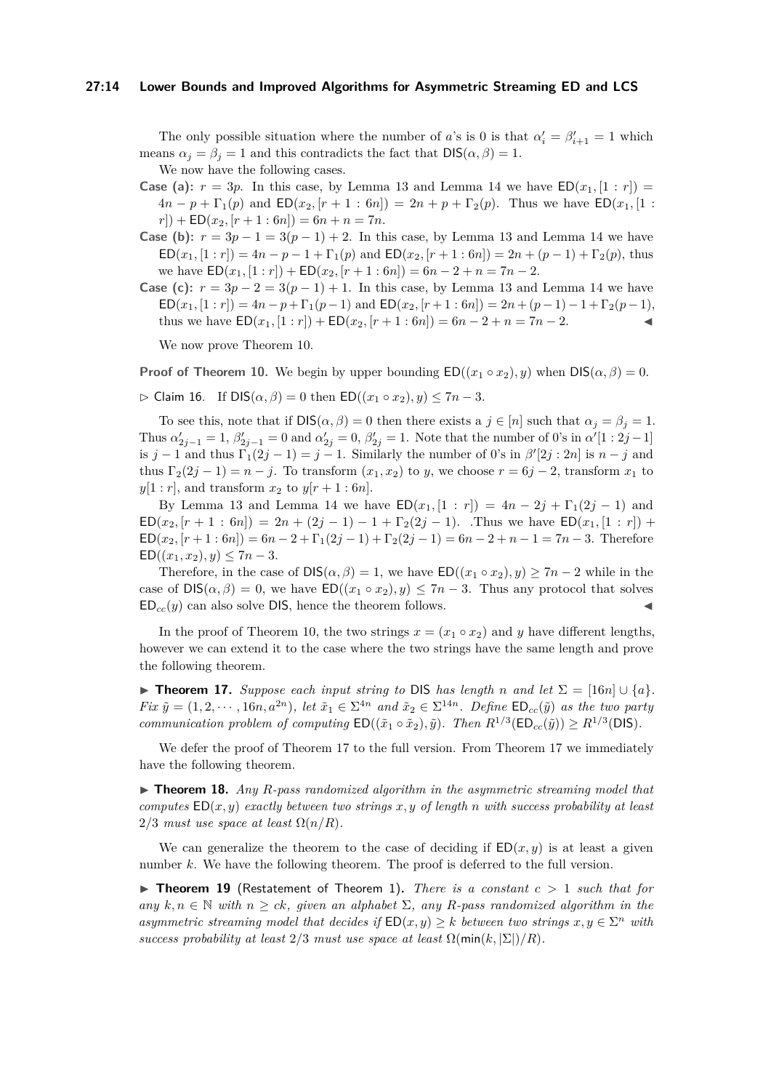#### **27:14 Lower Bounds and Improved Algorithms for Asymmetric Streaming ED and LCS**

The only possible situation where the number of *a*'s is 0 is that  $\alpha'_{i} = \beta'_{i+1} = 1$  which means  $\alpha_j = \beta_j = 1$  and this contradicts the fact that  $DIS(\alpha, \beta) = 1$ .

We now have the following cases.

- **Case (a):**  $r = 3p$ . In this case, by Lemma [13](#page-11-1) and Lemma [14](#page-12-0) we have  $ED(x_1, [1 : r]) =$  $4n - p + \Gamma_1(p)$  and  $ED(x_2, [r + 1 : 6n]) = 2n + p + \Gamma_2(p)$ . Thus we have  $ED(x_1, [1 : 6n]) = 2n + p + \Gamma_2(p)$ .  $r$ ) + ED( $x_2$ ,  $[r + 1 : 6n]$ ) =  $6n + n = 7n$ .
- **Case (b):**  $r = 3p 1 = 3(p 1) + 2$ . In this case, by Lemma [13](#page-11-1) and Lemma [14](#page-12-0) we have  $ED(x_1, [1:r]) = 4n - p - 1 + \Gamma_1(p)$  and  $ED(x_2, [r + 1:6n]) = 2n + (p - 1) + \Gamma_2(p)$ , thus we have  $ED(x_1, [1:r]) + ED(x_2, [r+1:6n]) = 6n - 2 + n = 7n - 2.$
- **Case (c):**  $r = 3p 2 = 3(p 1) + 1$ . In this case, by Lemma [13](#page-11-1) and Lemma [14](#page-12-0) we have  $ED(x_1, [1:r]) = 4n - p + \Gamma_1(p-1)$  and  $ED(x_2, [r+1:6n]) = 2n + (p-1) - 1 + \Gamma_2(p-1)$ , thus we have  $ED(x_1, [1:r]) + ED(x_2, [r+1:6n]) = 6n - 2 + n = 7n - 2$ .

We now prove Theorem [10.](#page-10-2)

**Proof of Theorem [10.](#page-10-2)** We begin by upper bounding  $ED((x_1 \circ x_2), y)$  when  $DIS(\alpha, \beta) = 0$ .

$$
\triangleright \text{ Claim 16. If } DIS(\alpha, \beta) = 0 \text{ then } ED((x_1 \circ x_2), y) \le 7n - 3.
$$

To see this, note that if  $DIS(\alpha, \beta) = 0$  then there exists a  $j \in [n]$  such that  $\alpha_j = \beta_j = 1$ . Thus  $\alpha'_{2j-1} = 1$ ,  $\beta'_{2j-1} = 0$  and  $\alpha'_{2j} = 0$ ,  $\beta'_{2j} = 1$ . Note that the number of 0's in  $\alpha'[1:2j-1]$ is *j* − 1 and thus  $\Gamma_1(2j-1) = j-1$ . Similarly the number of 0's in  $\beta'[2j:2n]$  is  $n-j$  and thus  $\Gamma_2(2j-1) = n - j$ . To transform  $(x_1, x_2)$  to *y*, we choose  $r = 6j - 2$ , transform  $x_1$  to  $y[1 : r]$ , and transform  $x_2$  to  $y[r + 1 : 6n]$ .

By Lemma [13](#page-11-1) and Lemma [14](#page-12-0) we have  $ED(x_1, [1 : r]) = 4n - 2j + \Gamma_1(2j - 1)$  and  $ED(x_2, [r + 1 : 6n]) = 2n + (2j - 1) - 1 + \Gamma_2(2j - 1)$ . Thus we have  $ED(x_1, [1 : r])$  +  $ED(x_2, [r+1:6n]) = 6n - 2 + \Gamma_1(2j-1) + \Gamma_2(2j-1) = 6n - 2 + n - 1 = 7n - 3.$  Therefore  $ED((x_1, x_2), y) \leq 7n - 3.$ 

Therefore, in the case of  $DIS(\alpha, \beta) = 1$ , we have  $ED((x_1 \circ x_2), y) \geq 7n - 2$  while in the case of  $DS(\alpha, \beta) = 0$ , we have  $ED((x_1 \circ x_2), y) \le 7n - 3$ . Thus any protocol that solves  $ED_{cc}(y)$  can also solve DIS, hence the theorem follows.

In the proof of Theorem [10,](#page-10-2) the two strings  $x = (x_1 \circ x_2)$  and *y* have different lengths, however we can extend it to the case where the two strings have the same length and prove the following theorem.

<span id="page-13-0"></span>▶ **Theorem 17.** *Suppose each input string to* DIS *has length n and let*  $\Sigma = [16n] \cup \{a\}$ *. Fix*  $\tilde{y} = (1, 2, \dots, 16n, a^{2n})$ , let  $\tilde{x}_1 \in \Sigma^{4n}$  and  $\tilde{x}_2 \in \Sigma^{14n}$ . Define  $\text{ED}_{cc}(\tilde{y})$  as the two party *communication problem of computing*  $ED((\tilde{x}_1 \circ \tilde{x}_2), \tilde{y})$ *. Then*  $R^{1/3}(ED_{cc}(\tilde{y})) \geq R^{1/3}(DIS)$ *.* 

We defer the proof of Theorem [17](#page-13-0) to the full version. From Theorem 17 we immediately have the following theorem.

▶ **Theorem 18.** *Any R-pass randomized algorithm in the asymmetric streaming model that computes* ED(*x, y*) *exactly between two strings x, y of length n with success probability at least*  $2/3$  *must use space at least*  $\Omega(n/R)$ *.* 

We can generalize the theorem to the case of deciding if  $ED(x, y)$  is at least a given number *k*. We have the following theorem. The proof is deferred to the full version.

▶ **Theorem 19** (Restatement of Theorem [1\)](#page-2-1)**.** *There is a constant c >* 1 *such that for*  $\lim_{n \to \infty} k, n \in \mathbb{N}$  *with*  $n \geq ck$ *, given an alphabet*  $\Sigma$ *, any R-pass randomized algorithm in the asymmetric streaming model that decides if*  $ED(x, y) \geq k$  *between two strings*  $x, y \in \Sigma^n$  *with success probability at least*  $2/3$  *must use space at least*  $\Omega(\min(k, |\Sigma|)/R)$ *.*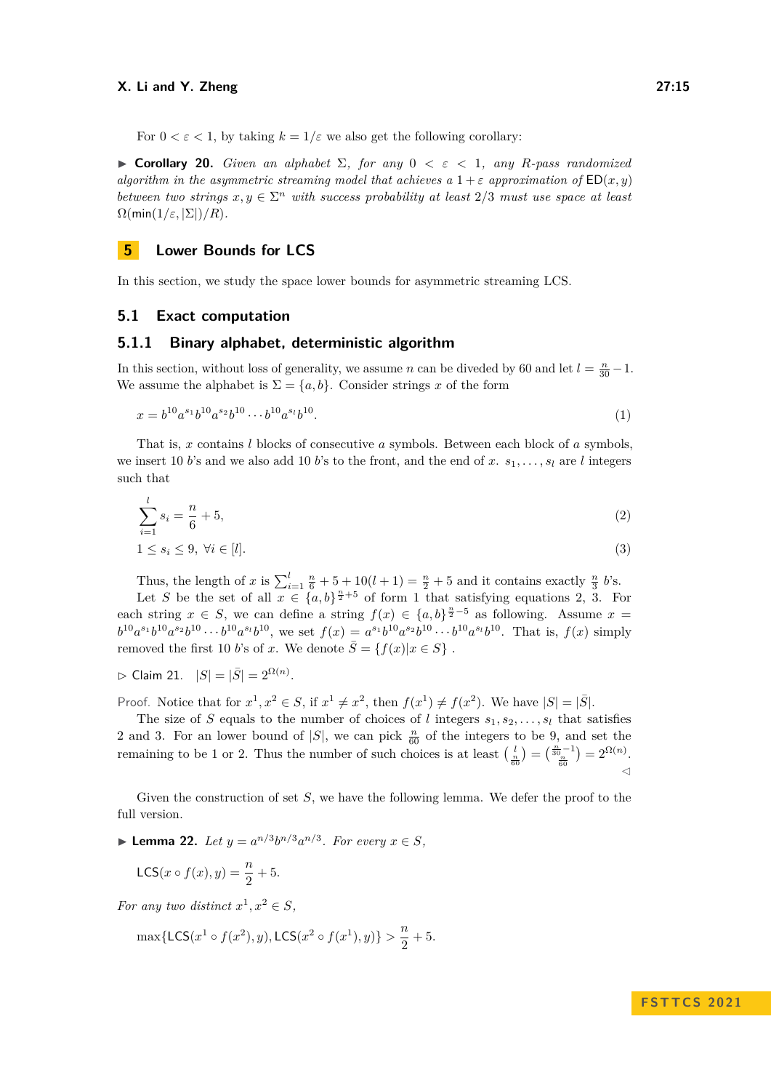For  $0 < \varepsilon < 1$ , by taking  $k = 1/\varepsilon$  we also get the following corollary:

**• Corollary 20.** *Given an alphabet*  $\Sigma$ , *for any*  $0 < \varepsilon < 1$ , *any R*-pass randomized *algorithm in the asymmetric streaming model that achieves a*  $1+\varepsilon$  *approximation of*  $ED(x, y)$ *between two strings*  $x, y \in \Sigma^n$  *with success probability at least*  $2/3$  *must use space at least*  $\Omega(\min(1/\varepsilon, |\Sigma|)/R)$ .

# <span id="page-14-0"></span>**5 Lower Bounds for LCS**

In this section, we study the space lower bounds for asymmetric streaming LCS.

## **5.1 Exact computation**

# <span id="page-14-5"></span>**5.1.1 Binary alphabet, deterministic algorithm**

In this section, without loss of generality, we assume *n* can be diveded by 60 and let  $l = \frac{n}{30} - 1$ . We assume the alphabet is  $\Sigma = \{a, b\}$ . Consider strings *x* of the form

<span id="page-14-1"></span>
$$
x = b^{10}a^{s_1}b^{10}a^{s_2}b^{10}\cdots b^{10}a^{s_l}b^{10}.
$$
\n
$$
(1)
$$

That is, *x* contains *l* blocks of consecutive *a* symbols. Between each block of *a* symbols, we insert 10 *b*'s and we also add 10 *b*'s to the front, and the end of x,  $s_1, \ldots, s_l$  are *l* integers such that

$$
\sum_{i=1}^{l} s_i = \frac{n}{6} + 5,\tag{2}
$$

<span id="page-14-3"></span><span id="page-14-2"></span>
$$
1 \le s_i \le 9, \ \forall i \in [l]. \tag{3}
$$

Thus, the length of *x* is  $\sum_{i=1}^{l} \frac{n}{6} + 5 + 10(l+1) = \frac{n}{2} + 5$  and it contains exactly  $\frac{n}{3}$  *b*'s.

Let *S* be the set of all  $x \in \{a, b\}^{\frac{n}{2}+5}$  of form [1](#page-14-1) that satisfying equations [2,](#page-14-2) [3.](#page-14-3) For each string  $x \in S$ , we can define a string  $f(x) \in \{a, b\}^{\frac{n}{2}-5}$  as following. Assume  $x =$  $b^{10}a^{s_1}b^{10}a^{s_2}b^{10}\cdots b^{10}a^{s_l}b^{10}$ , we set  $f(x)=a^{s_1}b^{10}a^{s_2}b^{10}\cdots b^{10}a^{s_l}b^{10}$ . That is,  $f(x)$  simply removed the first 10 *b*'s of *x*. We denote  $\overline{S} = \{f(x)|x \in S\}$ .

► Claim 21. 
$$
|S| = |\bar{S}| = 2^{\Omega(n)}
$$
.

Proof. Notice that for  $x^1, x^2 \in S$ , if  $x^1 \neq x^2$ , then  $f(x^1) \neq f(x^2)$ . We have  $|S| = |\overline{S}|$ .

The size of *S* equals to the number of choices of *l* integers  $s_1, s_2, \ldots, s_l$  that satisfies [2](#page-14-2) and [3.](#page-14-3) For an lower bound of  $|S|$ , we can pick  $\frac{n}{60}$  of the integers to be 9, and set the remaining to be 1 or 2. Thus the number of such choices is at least  $\left(\frac{l}{\frac{n}{60}}\right) = \left(\frac{\frac{n}{30}-1}{\frac{n}{60}}\right) = 2^{\Omega(n)}$ . ◁

Given the construction of set *S*, we have the following lemma. We defer the proof to the full version.

<span id="page-14-4"></span>▶ **Lemma 22.** *Let*  $y = a^{n/3}b^{n/3}a^{n/3}$ *. For every*  $x \in S$ *,* 

$$
\mathsf{LCS}(x \circ f(x), y) = \frac{n}{2} + 5.
$$

For any two distinct  $x^1, x^2 \in S$ ,

$$
\max\{\mathsf{LCS}(x^1 \circ f(x^2), y), \mathsf{LCS}(x^2 \circ f(x^1), y)\} > \frac{n}{2} + 5.
$$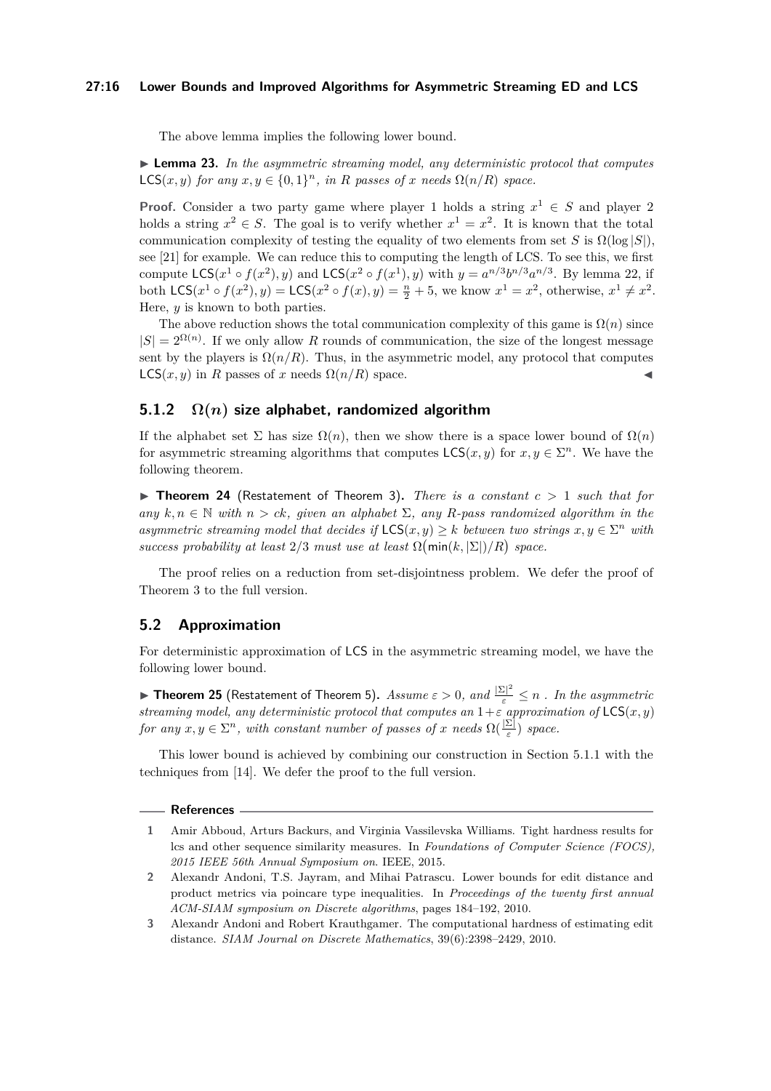#### **27:16 Lower Bounds and Improved Algorithms for Asymmetric Streaming ED and LCS**

The above lemma implies the following lower bound.

▶ **Lemma 23.** *In the asymmetric streaming model, any deterministic protocol that computes* LCS(*x, y*) *for any*  $x, y \in \{0, 1\}^n$ *, in R passes of x needs*  $\Omega(n/R)$  *space.* 

**Proof.** Consider a two party game where player 1 holds a string  $x^1 \in S$  and player 2 holds a string  $x^2 \in S$ . The goal is to verify whether  $x^1 = x^2$ . It is known that the total communication complexity of testing the equality of two elements from set *S* is  $\Omega(\log |S|)$ , see [\[21\]](#page-16-17) for example. We can reduce this to computing the length of LCS. To see this, we first compute  $LCS(x^1 \circ f(x^2), y)$  and  $LCS(x^2 \circ f(x^1), y)$  with  $y = a^{n/3}b^{n/3}a^{n/3}$ . By lemma [22,](#page-14-4) if both  $LCS(x^1 \circ f(x^2), y) = LCS(x^2 \circ f(x), y) = \frac{n}{2} + 5$ , we know  $x^1 = x^2$ , otherwise,  $x^1 \neq x^2$ . Here, *y* is known to both parties.

The above reduction shows the total communication complexity of this game is  $\Omega(n)$  since  $|S| = 2^{\Omega(n)}$ . If we only allow R rounds of communication, the size of the longest message sent by the players is  $\Omega(n/R)$ . Thus, in the asymmetric model, any protocol that computes  $LCS(x, y)$  in *R* passes of *x* needs  $\Omega(n/R)$  space.

# **5.1.2 Ω(***n***) size alphabet, randomized algorithm**

If the alphabet set  $\Sigma$  has size  $\Omega(n)$ , then we show there is a space lower bound of  $\Omega(n)$ for asymmetric streaming algorithms that computes  $\mathsf{LCS}(x, y)$  for  $x, y \in \Sigma^n$ . We have the following theorem.

▶ **Theorem 24** (Restatement of Theorem [3\)](#page-3-2)**.** *There is a constant c >* 1 *such that for*  $\lim_{n \to \infty} k, n \in \mathbb{N}$  *with*  $n > ck$ *, given an alphabet*  $\Sigma$ *, any R-pass randomized algorithm in the asymmetric streaming model that decides if*  $LCS(x, y) \geq k$  *between two strings*  $x, y \in \Sigma^n$  *with success probability at least*  $2/3$  *must use at least*  $\Omega$ (min(*k*,  $|\Sigma|$ )/*R*) *space.* 

The proof relies on a reduction from set-disjointness problem. We defer the proof of Theorem [3](#page-3-2) to the full version.

# **5.2 Approximation**

For deterministic approximation of LCS in the asymmetric streaming model, we have the following lower bound.

 $\blacktriangleright$  **Theorem 25** (Restatement of Theorem [5\)](#page-4-0). Assume  $\varepsilon > 0$ , and  $\frac{|\Sigma|^2}{\varepsilon} \leq n$  . In the asymmetric *streaming model, any deterministic protocol that computes an* 1+*ε approximation of* LCS(*x, y*) *for any*  $x, y \in \Sigma^n$ , with constant number of passes of *x* needs  $\Omega(\frac{|\Sigma|}{\varepsilon})$  space.

This lower bound is achieved by combining our construction in Section [5.1.1](#page-14-5) with the techniques from [\[14\]](#page-16-1). We defer the proof to the full version.

#### **References**

- <span id="page-15-0"></span>**1** Amir Abboud, Arturs Backurs, and Virginia Vassilevska Williams. Tight hardness results for lcs and other sequence similarity measures. In *Foundations of Computer Science (FOCS), 2015 IEEE 56th Annual Symposium on*. IEEE, 2015.
- <span id="page-15-2"></span>**2** Alexandr Andoni, T.S. Jayram, and Mihai Patrascu. Lower bounds for edit distance and product metrics via poincare type inequalities. In *Proceedings of the twenty first annual ACM-SIAM symposium on Discrete algorithms*, pages 184–192, 2010.
- <span id="page-15-1"></span>**3** Alexandr Andoni and Robert Krauthgamer. The computational hardness of estimating edit distance. *SIAM Journal on Discrete Mathematics*, 39(6):2398–2429, 2010.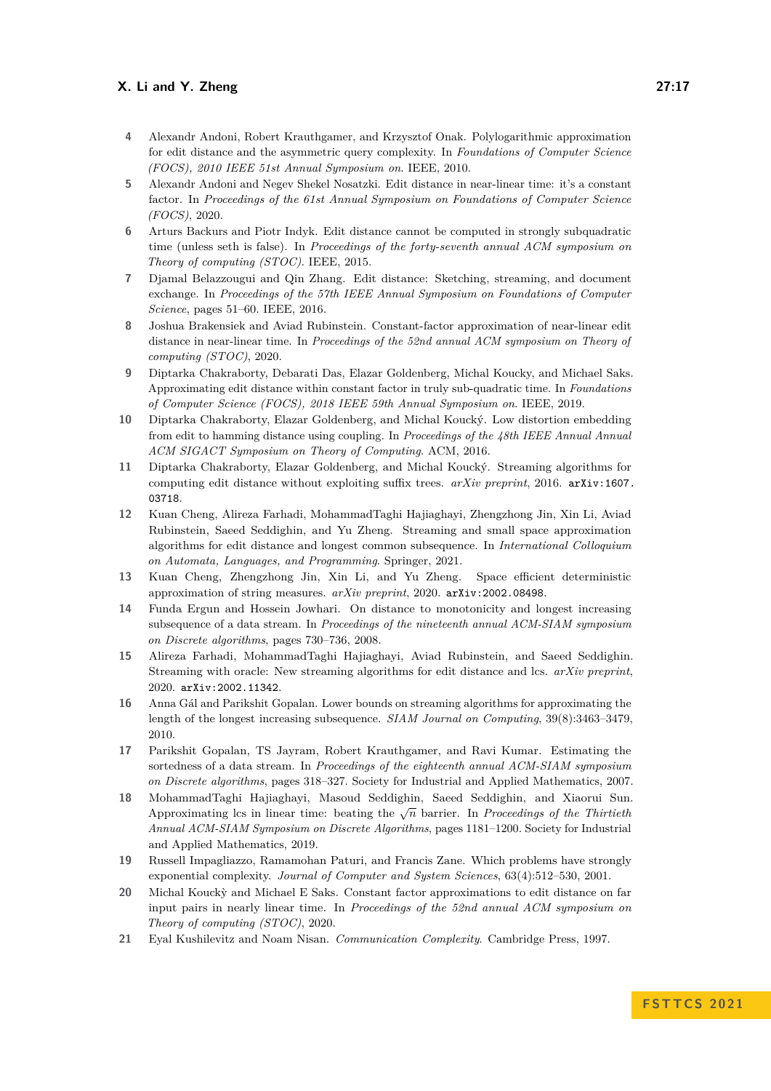- <span id="page-16-7"></span>**4** Alexandr Andoni, Robert Krauthgamer, and Krzysztof Onak. Polylogarithmic approximation for edit distance and the asymmetric query complexity. In *Foundations of Computer Science (FOCS), 2010 IEEE 51st Annual Symposium on*. IEEE, 2010.
- <span id="page-16-14"></span>**5** Alexandr Andoni and Negev Shekel Nosatzki. Edit distance in near-linear time: it's a constant factor. In *Proceedings of the 61st Annual Symposium on Foundations of Computer Science (FOCS)*, 2020.
- <span id="page-16-9"></span>**6** Arturs Backurs and Piotr Indyk. Edit distance cannot be computed in strongly subquadratic time (unless seth is false). In *Proceedings of the forty-seventh annual ACM symposium on Theory of computing (STOC)*. IEEE, 2015.
- <span id="page-16-6"></span>**7** Djamal Belazzougui and Qin Zhang. Edit distance: Sketching, streaming, and document exchange. In *Proceedings of the 57th IEEE Annual Symposium on Foundations of Computer Science*, pages 51–60. IEEE, 2016.
- <span id="page-16-12"></span>**8** Joshua Brakensiek and Aviad Rubinstein. Constant-factor approximation of near-linear edit distance in near-linear time. In *Proceedings of the 52nd annual ACM symposium on Theory of computing (STOC)*, 2020.
- <span id="page-16-11"></span>**9** Diptarka Chakraborty, Debarati Das, Elazar Goldenberg, Michal Koucky, and Michael Saks. Approximating edit distance within constant factor in truly sub-quadratic time. In *Foundations of Computer Science (FOCS), 2018 IEEE 59th Annual Symposium on*. IEEE, 2019.
- <span id="page-16-4"></span>**10** Diptarka Chakraborty, Elazar Goldenberg, and Michal Koucký. Low distortion embedding from edit to hamming distance using coupling. In *Proceedings of the 48th IEEE Annual Annual ACM SIGACT Symposium on Theory of Computing*. ACM, 2016.
- <span id="page-16-5"></span>**11** Diptarka Chakraborty, Elazar Goldenberg, and Michal Koucký. Streaming algorithms for computing edit distance without exploiting suffix trees. *arXiv preprint*, 2016. [arXiv:1607.](http://arxiv.org/abs/1607.03718) [03718](http://arxiv.org/abs/1607.03718).
- <span id="page-16-8"></span>**12** Kuan Cheng, Alireza Farhadi, MohammadTaghi Hajiaghayi, Zhengzhong Jin, Xin Li, Aviad Rubinstein, Saeed Seddighin, and Yu Zheng. Streaming and small space approximation algorithms for edit distance and longest common subsequence. In *International Colloquium on Automata, Languages, and Programming*. Springer, 2021.
- <span id="page-16-3"></span>**13** Kuan Cheng, Zhengzhong Jin, Xin Li, and Yu Zheng. Space efficient deterministic approximation of string measures. *arXiv preprint*, 2020. [arXiv:2002.08498](http://arxiv.org/abs/2002.08498).
- <span id="page-16-1"></span>**14** Funda Ergun and Hossein Jowhari. On distance to monotonicity and longest increasing subsequence of a data stream. In *Proceedings of the nineteenth annual ACM-SIAM symposium on Discrete algorithms*, pages 730–736, 2008.
- <span id="page-16-2"></span>**15** Alireza Farhadi, MohammadTaghi Hajiaghayi, Aviad Rubinstein, and Saeed Seddighin. Streaming with oracle: New streaming algorithms for edit distance and lcs. *arXiv preprint*, 2020. [arXiv:2002.11342](http://arxiv.org/abs/2002.11342).
- <span id="page-16-0"></span>**16** Anna Gál and Parikshit Gopalan. Lower bounds on streaming algorithms for approximating the length of the longest increasing subsequence. *SIAM Journal on Computing*, 39(8):3463–3479, 2010.
- <span id="page-16-16"></span>**17** Parikshit Gopalan, TS Jayram, Robert Krauthgamer, and Ravi Kumar. Estimating the sortedness of a data stream. In *Proceedings of the eighteenth annual ACM-SIAM symposium on Discrete algorithms*, pages 318–327. Society for Industrial and Applied Mathematics, 2007.
- <span id="page-16-15"></span>**18** MohammadTaghi Hajiaghayi, Masoud Seddighin, Saeed Seddighin, and Xiaorui Sun. Approximating lcs in linear time: beating the  $\sqrt{n}$  barrier. In *Proceedings of the Thirtieth Annual ACM-SIAM Symposium on Discrete Algorithms*, pages 1181–1200. Society for Industrial and Applied Mathematics, 2019.
- <span id="page-16-10"></span>**19** Russell Impagliazzo, Ramamohan Paturi, and Francis Zane. Which problems have strongly exponential complexity. *Journal of Computer and System Sciences*, 63(4):512–530, 2001.
- <span id="page-16-13"></span>**20** Michal Kouck`y and Michael E Saks. Constant factor approximations to edit distance on far input pairs in nearly linear time. In *Proceedings of the 52nd annual ACM symposium on Theory of computing (STOC)*, 2020.
- <span id="page-16-17"></span>**21** Eyal Kushilevitz and Noam Nisan. *Communication Complexity*. Cambridge Press, 1997.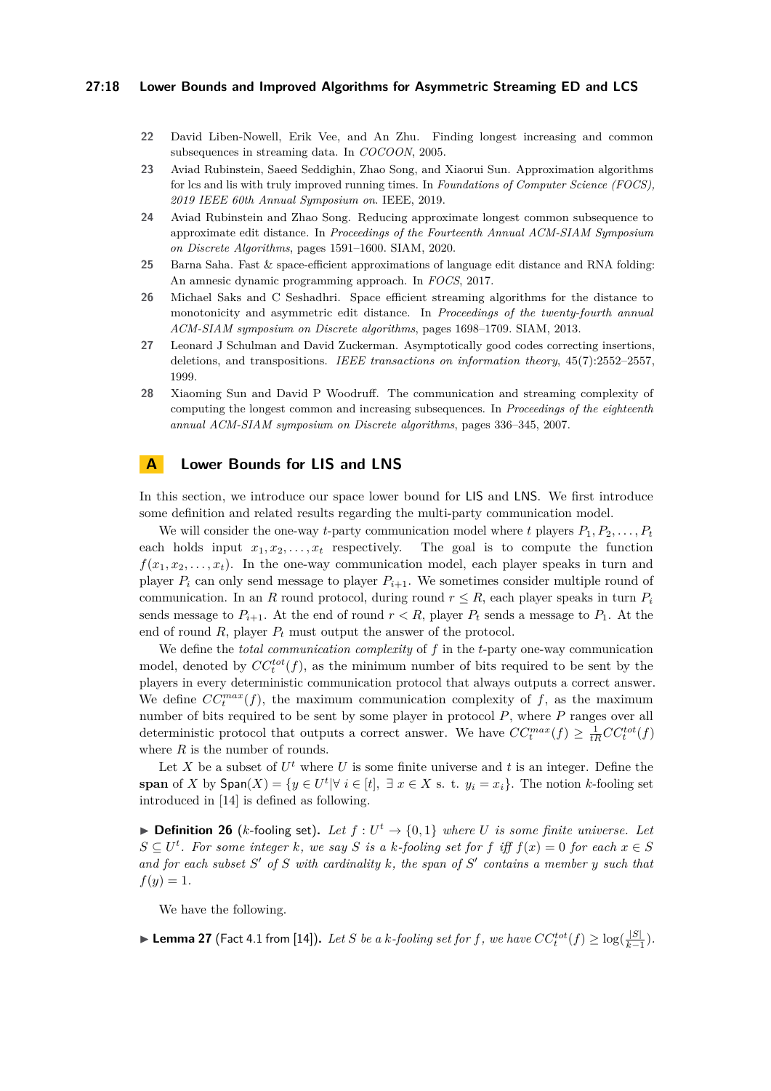#### **27:18 Lower Bounds and Improved Algorithms for Asymmetric Streaming ED and LCS**

- <span id="page-17-2"></span>**22** David Liben-Nowell, Erik Vee, and An Zhu. Finding longest increasing and common subsequences in streaming data. In *COCOON*, 2005.
- <span id="page-17-4"></span>**23** Aviad Rubinstein, Saeed Seddighin, Zhao Song, and Xiaorui Sun. Approximation algorithms for lcs and lis with truly improved running times. In *Foundations of Computer Science (FOCS), 2019 IEEE 60th Annual Symposium on*. IEEE, 2019.
- <span id="page-17-5"></span>**24** Aviad Rubinstein and Zhao Song. Reducing approximate longest common subsequence to approximate edit distance. In *Proceedings of the Fourteenth Annual ACM-SIAM Symposium on Discrete Algorithms*, pages 1591–1600. SIAM, 2020.
- <span id="page-17-3"></span>**25** Barna Saha. Fast & space-efficient approximations of language edit distance and RNA folding: An amnesic dynamic programming approach. In *FOCS*, 2017.
- <span id="page-17-0"></span>**26** Michael Saks and C Seshadhri. Space efficient streaming algorithms for the distance to monotonicity and asymmetric edit distance. In *Proceedings of the twenty-fourth annual ACM-SIAM symposium on Discrete algorithms*, pages 1698–1709. SIAM, 2013.
- <span id="page-17-8"></span>**27** Leonard J Schulman and David Zuckerman. Asymptotically good codes correcting insertions, deletions, and transpositions. *IEEE transactions on information theory*, 45(7):2552–2557, 1999.
- <span id="page-17-1"></span>**28** Xiaoming Sun and David P Woodruff. The communication and streaming complexity of computing the longest common and increasing subsequences. In *Proceedings of the eighteenth annual ACM-SIAM symposium on Discrete algorithms*, pages 336–345, 2007.

# <span id="page-17-6"></span>**A Lower Bounds for LIS and LNS**

In this section, we introduce our space lower bound for LIS and LNS. We first introduce some definition and related results regarding the multi-party communication model.

We will consider the one-way *t*-party communication model where *t* players  $P_1, P_2, \ldots, P_t$ each holds input  $x_1, x_2, \ldots, x_t$  respectively. The goal is to compute the function  $f(x_1, x_2, \ldots, x_t)$ . In the one-way communication model, each player speaks in turn and player  $P_i$  can only send message to player  $P_{i+1}$ . We sometimes consider multiple round of communication. In an *R* round protocol, during round  $r \leq R$ , each player speaks in turn  $P_i$ sends message to  $P_{i+1}$ . At the end of round  $r < R$ , player  $P_t$  sends a message to  $P_1$ . At the end of round  $R$ , player  $P_t$  must output the answer of the protocol.

We define the *total communication complexity* of *f* in the *t*-party one-way communication model, denoted by  $CC_t^{tot}(f)$ , as the minimum number of bits required to be sent by the players in every deterministic communication protocol that always outputs a correct answer. We define  $CC_t^{max}(f)$ , the maximum communication complexity of  $f$ , as the maximum number of bits required to be sent by some player in protocol *P*, where *P* ranges over all deterministic protocol that outputs a correct answer. We have  $CC^{max}_{t}(f) \geq \frac{1}{tR}CC^{tot}_{t}(f)$ where *R* is the number of rounds.

Let X be a subset of  $U^t$  where U is some finite universe and t is an integer. Define the **span** of *X* by  $\textsf{Span}(X) = \{y \in U^t | \forall i \in [t], \exists x \in X \text{ s. t. } y_i = x_i\}.$  The notion *k*-fooling set introduced in [\[14\]](#page-16-1) is defined as following.

▶ **Definition 26** (*k*-fooling set). Let  $f: U^t \to \{0,1\}$  where *U* is some finite universe. Let  $S \subseteq U^t$ . For some integer *k*, we say *S* is a *k-fooling set for f* iff  $f(x) = 0$  for each  $x \in S$ *and for each subset S* ′ *of S with cardinality k, the span of S* ′ *contains a member y such that*  $f(y) = 1.$ 

We have the following.

<span id="page-17-7"></span>▶ **Lemma 27** (Fact 4.1 from [\[14\]](#page-16-1)). Let *S* be a k-fooling set for f, we have  $CC_t^{tot}(f) \geq \log(\frac{|S|}{k-1})$  $\frac{|S|}{k-1}$ ).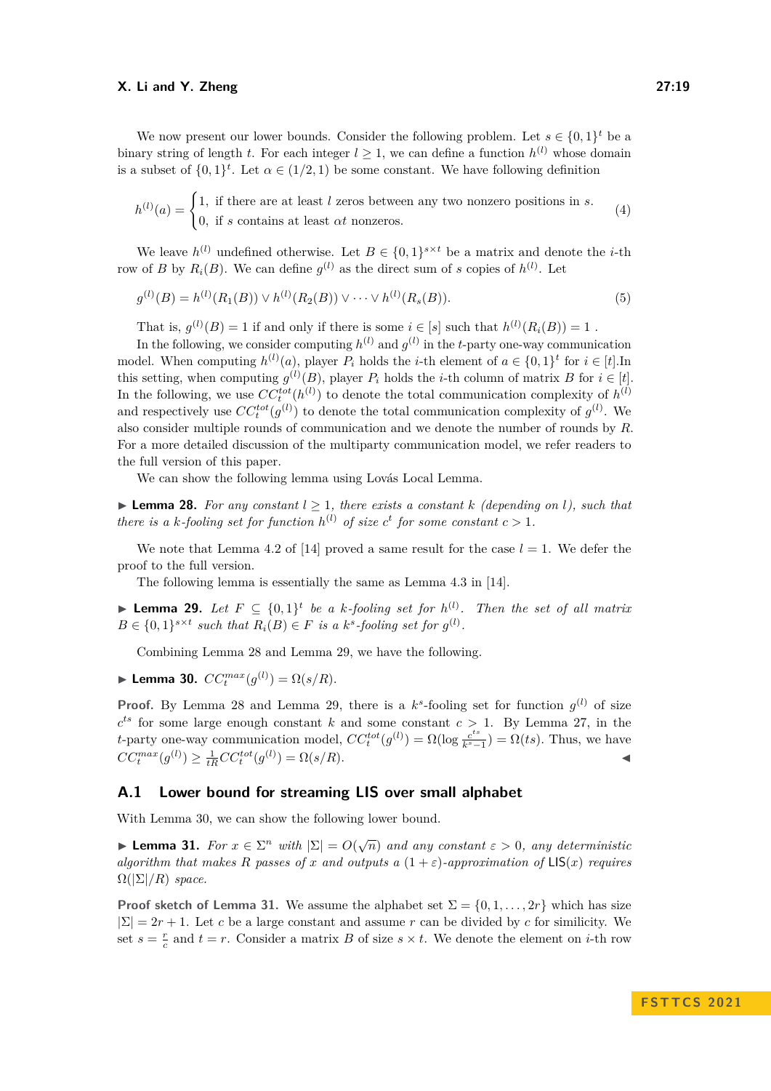We now present our lower bounds. Consider the following problem. Let  $s \in \{0,1\}^t$  be a binary string of length *t*. For each integer  $l \geq 1$ , we can define a function  $h^{(l)}$  whose domain is a subset of  $\{0,1\}^t$ . Let  $\alpha \in (1/2,1)$  be some constant. We have following definition

$$
h^{(l)}(a) = \begin{cases} 1, & \text{if there are at least } l \text{ zeros between any two nonzero positions in } s. \\ 0, & \text{if } s \text{ contains at least } \alpha t \text{ nonzeros.} \end{cases} \tag{4}
$$

We leave  $h^{(l)}$  undefined otherwise. Let  $B \in \{0,1\}^{s \times t}$  be a matrix and denote the *i*-th row of *B* by  $R_i(B)$ . We can define  $g^{(l)}$  as the direct sum of *s* copies of  $h^{(l)}$ . Let

$$
g^{(l)}(B) = h^{(l)}(R_1(B)) \vee h^{(l)}(R_2(B)) \vee \cdots \vee h^{(l)}(R_s(B)).
$$
\n(5)

That is,  $g^{(l)}(B) = 1$  if and only if there is some  $i \in [s]$  such that  $h^{(l)}(R_i(B)) = 1$ .

In the following, we consider computing  $h^{(l)}$  and  $g^{(l)}$  in the *t*-party one-way communication model. When computing  $h^{(l)}(a)$ , player  $P_i$  holds the *i*-th element of  $a \in \{0,1\}^t$  for  $i \in [t]$ . In this setting, when computing  $g^{(l)}(B)$ , player  $P_i$  holds the *i*-th column of matrix  $B$  for  $i \in [t]$ . In the following, we use  $CC_t^{tot}(h^{(l)})$  to denote the total communication complexity of  $h^{(l)}$ and respectively use  $CC_t^{tot}(g^{(l)})$  to denote the total communication complexity of  $g^{(l)}$ . We also consider multiple rounds of communication and we denote the number of rounds by *R*. For a more detailed discussion of the multiparty communication model, we refer readers to the full version of this paper.

We can show the following lemma using Lovás Local Lemma.

<span id="page-18-0"></span> $\blacktriangleright$  **Lemma 28.** For any constant  $l > 1$ , there exists a constant k (depending on l), such that *there is a k-fooling set for function*  $h^{(l)}$  *of size c<sup>t</sup> for some constant*  $c > 1$ *.* 

We note that Lemma 4.2 of [\[14\]](#page-16-1) proved a same result for the case  $l = 1$ . We defer the proof to the full version.

The following lemma is essentially the same as Lemma 4.3 in [\[14\]](#page-16-1).

<span id="page-18-1"></span>▶ **Lemma 29.** Let  $F \subseteq \{0,1\}^t$  be a k-fooling set for  $h^{(l)}$ . Then the set of all matrix  $B \in \{0,1\}^{s \times t}$  such that  $R_i(B) \in F$  is a  $k^s$ -fooling set for  $g^{(l)}$ .

Combining Lemma [28](#page-18-0) and Lemma [29,](#page-18-1) we have the following.

<span id="page-18-2"></span>▶ **Lemma 30.**  $CC_t^{max}(g^{(l)}) = \Omega(s/R)$ .

**Proof.** By Lemma [28](#page-18-0) and Lemma [29,](#page-18-1) there is a  $k^s$ -fooling set for function  $g^{(l)}$  of size  $c^{ts}$  for some large enough constant *k* and some constant  $c > 1$ . By Lemma [27,](#page-17-7) in the *t*-party one-way communication model,  $CC_t^{tot}(g^{(l)}) = \Omega(\log \frac{c^{ts}}{k^s-1})$  $\frac{c^{cs}}{k^s-1}$ ) =  $\Omega(ts)$ . Thus, we have  $CC_t^{max}(g^{(l)}) \ge \frac{1}{tR}CC_t^{tot}(g^{(l)}) = \Omega(s/R).$ 

# **A.1 Lower bound for streaming LIS over small alphabet**

With Lemma [30,](#page-18-2) we can show the following lower bound.

<span id="page-18-3"></span>**► Lemma 31.** *For*  $x \in \Sigma^n$  *with*  $|\Sigma| = O(\sqrt{n})$  *and any constant*  $\varepsilon > 0$ *, any deterministic algorithm that makes R* passes of *x* and outputs a  $(1+\varepsilon)$ -approximation of  $\mathsf{LIS}(x)$  requires  $\Omega(|\Sigma|/R)$  *space.* 

**Proof sketch of Lemma [31.](#page-18-3)** We assume the alphabet set  $\Sigma = \{0, 1, \ldots, 2r\}$  which has size  $|\Sigma| = 2r + 1$ . Let *c* be a large constant and assume *r* can be divided by *c* for similicity. We set  $s = \frac{r}{c}$  and  $t = r$ . Consider a matrix *B* of size  $s \times t$ . We denote the element on *i*-th row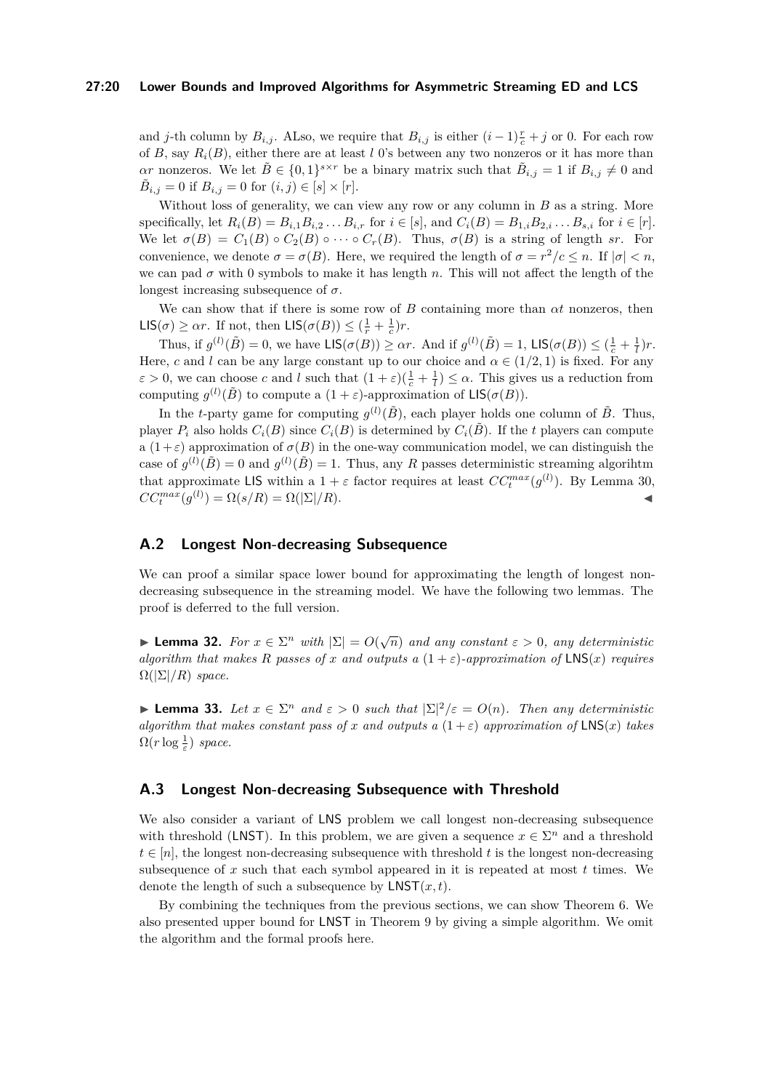#### **27:20 Lower Bounds and Improved Algorithms for Asymmetric Streaming ED and LCS**

and *j*-th column by  $B_{i,j}$ . ALso, we require that  $B_{i,j}$  is either  $(i-1)\frac{r}{c}+j$  or 0. For each row of *B*, say  $R_i(B)$ , either there are at least *l* 0's between any two nonzeros or it has more than *αr* nonzeros. We let  $\tilde{B} \in \{0,1\}^{s \times r}$  be a binary matrix such that  $\tilde{B}_{i,j} = 1$  if  $B_{i,j} \neq 0$  and  $\tilde{B}_{i,j} = 0$  if  $B_{i,j} = 0$  for  $(i,j) \in [s] \times [r]$ .

Without loss of generality, we can view any row or any column in *B* as a string. More specifically, let  $R_i(B) = B_{i,1}B_{i,2}...B_{i,r}$  for  $i \in [s]$ , and  $C_i(B) = B_{1,i}B_{2,i}...B_{s,i}$  for  $i \in [r]$ . We let  $\sigma(B) = C_1(B) \circ C_2(B) \circ \cdots \circ C_r(B)$ . Thus,  $\sigma(B)$  is a string of length *sr*. For convenience, we denote  $\sigma = \sigma(B)$ . Here, we required the length of  $\sigma = r^2/c \leq n$ . If  $|\sigma| < n$ , we can pad  $\sigma$  with 0 symbols to make it has length  $n$ . This will not affect the length of the longest increasing subsequence of *σ*.

We can show that if there is some row of *B* containing more than *αt* nonzeros, then  $\mathsf{LIS}(\sigma) \geq \alpha r$ . If not, then  $\mathsf{LIS}(\sigma(B)) \leq (\frac{1}{r} + \frac{1}{c})r$ .

Thus, if  $g^{(l)}(\tilde{B}) = 0$ , we have  $\text{LIS}(\sigma(B)) \geq \alpha r$ . And if  $g^{(l)}(\tilde{B}) = 1$ ,  $\text{LIS}(\sigma(B)) \leq (\frac{1}{c} + \frac{1}{l})r$ . Here, *c* and *l* can be any large constant up to our choice and  $\alpha \in (1/2, 1)$  is fixed. For any  $\varepsilon > 0$ , we can choose *c* and *l* such that  $(1 + \varepsilon)(\frac{1}{c} + \frac{1}{l}) \leq \alpha$ . This gives us a reduction from computing  $g^{(l)}(\tilde{B})$  to compute a  $(1+\varepsilon)$ -approximation of  $\mathsf{LIS}(\sigma(B))$ .

In the *t*-party game for computing  $g^{(l)}(\tilde{B})$ , each player holds one column of  $\tilde{B}$ . Thus, player  $P_i$  also holds  $C_i(B)$  since  $C_i(B)$  is determined by  $C_i(\tilde{B})$ . If the *t* players can compute a  $(1+\varepsilon)$  approximation of  $\sigma(B)$  in the one-way communication model, we can distinguish the case of  $g^{(l)}(\tilde{B}) = 0$  and  $g^{(l)}(\tilde{B}) = 1$ . Thus, any *R* passes deterministic streaming algorihtm that approximate LIS within a  $1 + \varepsilon$  factor requires at least  $CC_t^{max}(g^{(l)})$ . By Lemma [30,](#page-18-2)  $CC_t^{max}(g^{(l)}) = \Omega(s/R) = \Omega(|\Sigma|/R).$ 

# **A.2 Longest Non-decreasing Subsequence**

We can proof a similar space lower bound for approximating the length of longest nondecreasing subsequence in the streaming model. We have the following two lemmas. The proof is deferred to the full version.

**► Lemma 32.** *For*  $x \in \Sigma^n$  *with*  $|\Sigma| = O(\sqrt{n})$  *and any constant*  $\varepsilon > 0$ *, any deterministic algorithm that makes R* passes of *x* and outputs a  $(1 + \varepsilon)$ -approximation of  $LNS(x)$  requires  $\Omega(|\Sigma|/R)$  *space.* 

**► Lemma 33.** Let  $x \in \Sigma^n$  and  $\varepsilon > 0$  such that  $|\Sigma|^2/\varepsilon = O(n)$ . Then any deterministic *algorithm that makes constant pass of x and outputs a*  $(1+\varepsilon)$  *approximation of*  $LNS(x)$  *takes*  $\Omega(r \log \frac{1}{\varepsilon})$  *space.* 

# **A.3 Longest Non-decreasing Subsequence with Threshold**

We also consider a variant of LNS problem we call longest non-decreasing subsequence with threshold (LNST). In this problem, we are given a sequence  $x \in \Sigma^n$  and a threshold  $t \in [n]$ , the longest non-decreasing subsequence with threshold *t* is the longest non-decreasing subsequence of *x* such that each symbol appeared in it is repeated at most *t* times. We denote the length of such a subsequence by LNST(*x, t*).

By combining the techniques from the previous sections, we can show Theorem [6.](#page-4-1) We also presented upper bound for LNST in Theorem [9](#page-5-0) by giving a simple algorithm. We omit the algorithm and the formal proofs here.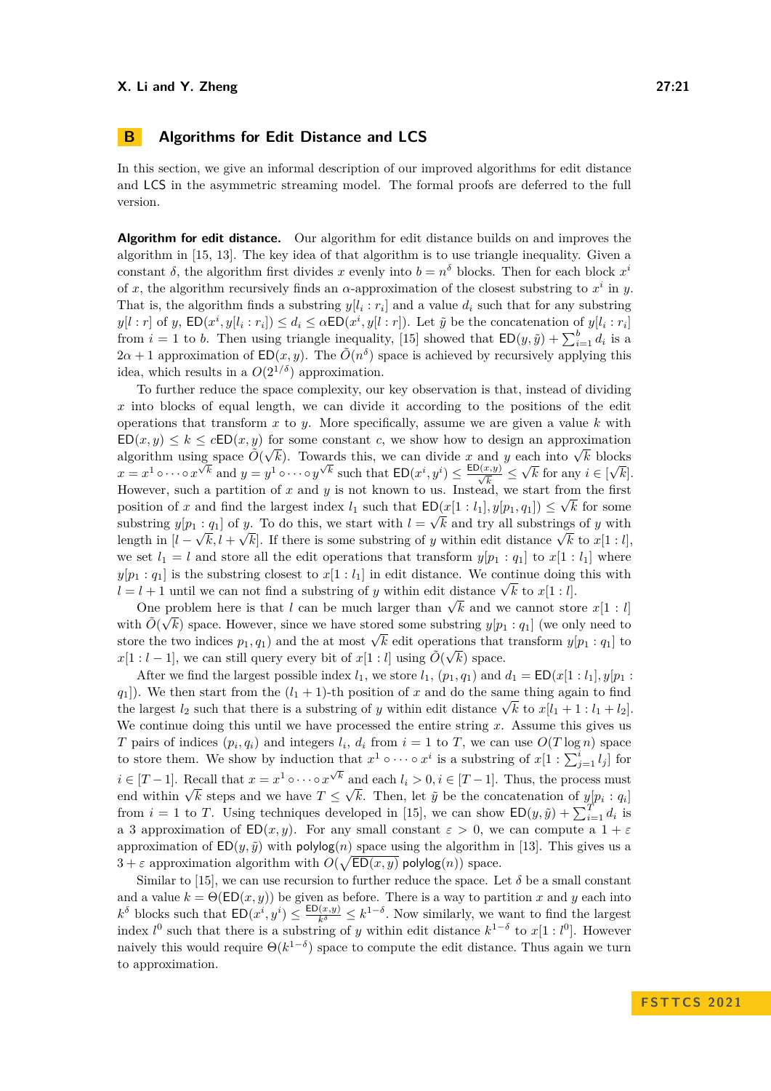<span id="page-20-0"></span>In this section, we give an informal description of our improved algorithms for edit distance and LCS in the asymmetric streaming model. The formal proofs are deferred to the full version.

**Algorithm for edit distance.** Our algorithm for edit distance builds on and improves the algorithm in [\[15,](#page-16-2) [13\]](#page-16-3). The key idea of that algorithm is to use triangle inequality. Given a constant  $\delta$ , the algorithm first divides *x* evenly into  $b = n^{\delta}$  blocks. Then for each block  $x^{i}$ of *x*, the algorithm recursively finds an  $\alpha$ -approximation of the closest substring to  $x^i$  in *y*. That is, the algorithm finds a substring  $y[l_i : r_i]$  and a value  $d_i$  such that for any substring  $y[l:r]$  of y,  $ED(x^i, y[l_i:r_i]) \leq d_i \leq \alpha ED(x^i, y[l:r])$ . Let  $\tilde{y}$  be the concatenation of  $y[l_i:r_i]$ from  $i = 1$  to *b*. Then using triangle inequality, [\[15\]](#page-16-2) showed that  $ED(y, \tilde{y}) + \sum_{i=1}^{b} d_i$  is a  $2\alpha + 1$  approximation of  $ED(x, y)$ . The  $\tilde{O}(n^{\delta})$  space is achieved by recursively applying this idea, which results in a  $O(2^{1/\delta})$  approximation.

To further reduce the space complexity, our key observation is that, instead of dividing *x* into blocks of equal length, we can divide it according to the positions of the edit operations that transform *x* to *y*. More specifically, assume we are given a value *k* with  $ED(x, y) \leq k \leq cED(x, y)$  for some constant *c*, we show how to design an approximation  $\mathcal{L} \cup (\mathcal{X}, \mathcal{Y}) \leq \kappa \leq c \mathcal{L} \cup (\mathcal{X}, \mathcal{Y})$  for some constant *c*, we snow now to design an approximation algorithm using space  $\tilde{O}(\sqrt{k})$ . Towards this, we can divide *x* and *y* each into  $\sqrt{k}$  blocks  $x = x^1 \circ \cdots \circ x^{\sqrt{k}}$  and  $y = y^1 \circ \cdots \circ y^{\sqrt{k}}$  such that  $ED(x^i, y^i) \le \frac{ED(x, y)}{\sqrt{k}} \le$ √ *k* for any  $i \in [$  $\overline{\ }$ *k*]. However, such a partition of *x* and *y* is not known to us. Instead, we start from the first position of *x* and find the largest index  $l_1$  such that  $ED(x[1: l_1], y[p_1, q_1]) \leq \sqrt{k}$  for some substring  $y[p_1 : q_1]$  of *y*. To do this, we start with  $l = \sqrt{k}$  and try all substrings of *y* with length in  $[l - \sqrt{k}, l + \sqrt{k}]$ . If there is some substring of *y* within edit distance  $\sqrt{k}$  to  $x[1: l]$ , we set  $l_1 = l$  and store all the edit operations that transform  $y[p_1 : q_1]$  to  $x[1 : l_1]$  where  $y[p_1 : q_1]$  is the substring closest to  $x[1 : l_1]$  in edit distance. We continue doing this with *l* = *l* + 1 until we can not find a substring of *y* within edit distance  $\sqrt{k}$  to *x*[1 : *l*].

One problem here is that *l* can be much larger than  $\sqrt{k}$  and we cannot store *x*[1 : *l*] with  $\tilde{O}(\sqrt{k})$  space. However, since we have stored some substring  $y[p_1:q_1]$  (we only need to with  $O(Vk)$  space. However, since we have stored some substring  $y[p_1 : q_1]$  (we only need to store the two indices  $p_1, q_1$ ) and the at most  $\sqrt{k}$  edit operations that transform  $y[p_1 : q_1]$  to  $x[1: l-1]$ , we can still query every bit of  $x[1: l]$  using  $\tilde{O}(\sqrt{k})$  space.

After we find the largest possible index  $l_1$ , we store  $l_1$ ,  $(p_1, q_1)$  and  $d_1 = \text{ED}(x[1 : l_1], y[p_1 : l_1])$  $q_1$ ]). We then start from the  $(l_1 + 1)$ -th position of *x* and do the same thing again to find  $y_{1}$ ). We then start from the  $(t_{1} + 1)$ -th position of *x* and do the same thing again to find the largest  $l_{2}$  such that there is a substring of *y* within edit distance  $\sqrt{k}$  to  $x[l_{1} + 1 : l_{1} + l_{2}]$ . We continue doing this until we have processed the entire string *x*. Assume this gives us *T* pairs of indices  $(p_i, q_i)$  and integers  $l_i$ ,  $d_i$  from  $i = 1$  to *T*, we can use  $O(T \log n)$  space to store them. We show by induction that  $x^1 \circ \cdots \circ x^i$  is a substring of  $x[1:\sum_{j=1}^i l_j]$  for  $i \in [T-1]$ . Recall that  $x = x^1 \circ \cdots \circ x^{\sqrt{k}}$  and each  $l_i > 0, i \in [T-1]$ . Thus, the process must  $i \in [1 - 1]$ . Recall that  $x = x$   $\circ \cdots \circ x$  and each  $i_i > 0, i \in [1 - 1]$ . Thus, the process must end within  $\sqrt{k}$  steps and we have  $T \leq \sqrt{k}$ . Then, let  $\tilde{y}$  be the concatenation of  $y[p_i : q_i]$ from  $i = 1$  to *T*. Using techniques developed in [\[15\]](#page-16-2), we can show  $ED(y, \tilde{y}) + \sum_{i=1}^{T} d_i$  is a 3 approximation of  $ED(x, y)$ . For any small constant  $\varepsilon > 0$ , we can compute a  $1 + \varepsilon$ approximation of  $ED(y, \tilde{y})$  with polylog(*n*) space using the algorithm in [\[13\]](#page-16-3). This gives us a  $3 + \varepsilon$  approximation algorithm with  $O(\sqrt{\text{ED}(x, y)}\text{ polylog}(n))$  space.

Similar to [\[15\]](#page-16-2), we can use recursion to further reduce the space. Let  $\delta$  be a small constant and a value  $k = \Theta(\text{ED}(x, y))$  be given as before. There is a way to partition x and y each into  $k^{\delta}$  blocks such that  $ED(x^i, y^i) \leq \frac{ED(x, y)}{k^{\delta}} \leq k^{1-\delta}$ . Now similarly, we want to find the largest index  $l^0$  such that there is a substring of *y* within edit distance  $k^{1-\delta}$  to  $x[1:l^0]$ . However naively this would require  $\Theta(k^{1-\delta})$  space to compute the edit distance. Thus again we turn to approximation.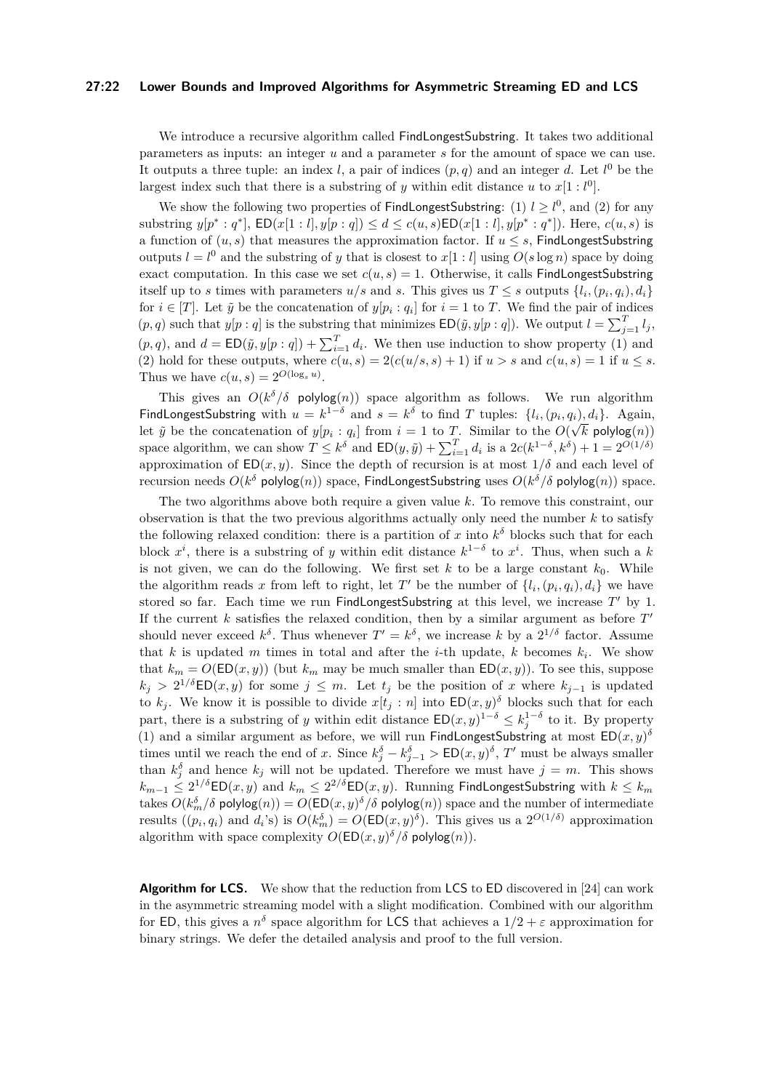#### **27:22 Lower Bounds and Improved Algorithms for Asymmetric Streaming ED and LCS**

We introduce a recursive algorithm called FindLongestSubstring. It takes two additional parameters as inputs: an integer *u* and a parameter *s* for the amount of space we can use. It outputs a three tuple: an index *l*, a pair of indices  $(p, q)$  and an integer *d*. Let  $l^0$  be the largest index such that there is a substring of *y* within edit distance *u* to  $x[1: l^0]$ .

We show the following two properties of **FindLongestSubstring**: (1)  $l \geq l^0$ , and (2) for any substring  $y[p^*: q^*]$ ,  $ED(x[1:l], y[p:q]) \leq d \leq c(u, s)ED(x[1:l], y[p^*: q^*])$ . Here,  $c(u, s)$  is a function of  $(u, s)$  that measures the approximation factor. If  $u \leq s$ , FindLongestSubstring outputs  $l = l^0$  and the substring of *y* that is closest to  $x[1:l]$  using  $O(s \log n)$  space by doing exact computation. In this case we set  $c(u, s) = 1$ . Otherwise, it calls FindLongestSubstring itself up to *s* times with parameters  $u/s$  and *s*. This gives us  $T \leq s$  outputs  $\{l_i, (p_i, q_i), d_i\}$ for  $i \in [T]$ . Let  $\tilde{y}$  be the concatenation of  $y[p_i : q_i]$  for  $i = 1$  to *T*. We find the pair of indices  $(p, q)$  such that  $y[p : q]$  is the substring that minimizes  $ED(\tilde{y}, y[p : q])$ . We output  $l = \sum_{j=1}^{T} l_j$ ,  $(p, q)$ , and  $d = \text{ED}(\tilde{y}, y[p : q]) + \sum_{i=1}^{T} d_i$ . We then use induction to show property (1) and (2) hold for these outputs, where  $c(u, s) = 2(c(u/s, s) + 1)$  if  $u > s$  and  $c(u, s) = 1$  if  $u \leq s$ . Thus we have  $c(u, s) = 2^{O(\log_s u)}$ .

This gives an  $O(k^{\delta}/\delta$  polylog(*n*)) space algorithm as follows. We run algorithm FindLongestSubstring with  $u = k^{1-\delta}$  and  $s = k^{\delta}$  to find *T* tuples:  $\{l_i, (p_i, q_i), d_i\}$ . Again, let  $\tilde{y}$  be the concatenation of  $y[p_i : q_i]$  from  $i = 1$  to T. Similar to the  $O(\sqrt{k}$  polylog $(n))$ space algorithm, we can show  $T \leq k^{\delta}$  and  $ED(y, \tilde{y}) + \sum_{i=1}^{T} d_i$  is a  $2c(k^{1-\delta}, k^{\delta}) + 1 = 2^{O(1/\delta)}$ approximation of  $ED(x, y)$ . Since the depth of recursion is at most  $1/\delta$  and each level of recursion needs  $O(k^{\delta}$  polylog $(n))$  space, FindLongestSubstring uses  $O(k^{\delta}/\delta$  polylog $(n))$  space.

The two algorithms above both require a given value *k*. To remove this constraint, our observation is that the two previous algorithms actually only need the number *k* to satisfy the following relaxed condition: there is a partition of *x* into  $k^{\delta}$  blocks such that for each block  $x^i$ , there is a substring of *y* within edit distance  $k^{1-\delta}$  to  $x^i$ . Thus, when such a k is not given, we can do the following. We first set  $k$  to be a large constant  $k_0$ . While the algorithm reads x from left to right, let T' be the number of  $\{l_i, (p_i, q_i), d_i\}$  we have stored so far. Each time we run FindLongestSubstring at this level, we increase *T* ′ by 1. If the current  $k$  satisfies the relaxed condition, then by a similar argument as before  $T'$ should never exceed  $k^{\delta}$ . Thus whenever  $T' = k^{\delta}$ , we increase k by a  $2^{1/\delta}$  factor. Assume that *k* is updated *m* times in total and after the *i*-th update, *k* becomes  $k_i$ . We show that  $k_m = O(\text{ED}(x, y))$  (but  $k_m$  may be much smaller than  $\text{ED}(x, y)$ ). To see this, suppose  $k_j$  > 2<sup>1/δ</sup>ED(*x, y*) for some  $j \leq m$ . Let  $t_j$  be the position of *x* where  $k_{j-1}$  is updated to  $k_j$ . We know it is possible to divide  $x[t_j : n]$  into  $ED(x, y)$ <sup> $\delta$ </sup> blocks such that for each part, there is a substring of *y* within edit distance  $ED(x, y)^{1-\delta} \leq k_j^{1-\delta}$  to it. By property (1) and a similar argument as before, we will run FindLongestSubstring at most  $ED(x, y)$ <sup>δ</sup> times until we reach the end of *x*. Since  $k_j^{\delta} - k_{j-1}^{\delta} > \text{ED}(x, y)^{\delta}$ , T' must be always smaller than  $k_j^{\delta}$  and hence  $k_j$  will not be updated. Therefore we must have  $j = m$ . This shows  $k_{m-1} \leq 2^{1/\delta}$ ED $(x,y)$  and  $k_m \leq 2^{2/\delta}$ ED $(x,y)$ . Running FindLongestSubstring with  $k \leq k_m$ takes  $O(k_m^{\delta}/\delta$  polylog $(n)) = O(\mathsf{ED}(x,y)^{\delta}/\delta$  polylog $(n))$  space and the number of intermediate results  $((p_i, q_i)$  and  $d_i$ 's) is  $O(k_m^{\delta}) = O(\text{ED}(x, y)^{\delta})$ . This gives us a  $2^{O(1/\delta)}$  approximation algorithm with space complexity  $O(\mathsf{ED}(x, y)^\delta/\delta \mathsf{polylog}(n)).$ 

Algorithm for LCS. We show that the reduction from LCS to ED discovered in [\[24\]](#page-17-5) can work in the asymmetric streaming model with a slight modification. Combined with our algorithm for ED, this gives a  $n^{\delta}$  space algorithm for LCS that achieves a  $1/2 + \varepsilon$  approximation for binary strings. We defer the detailed analysis and proof to the full version.